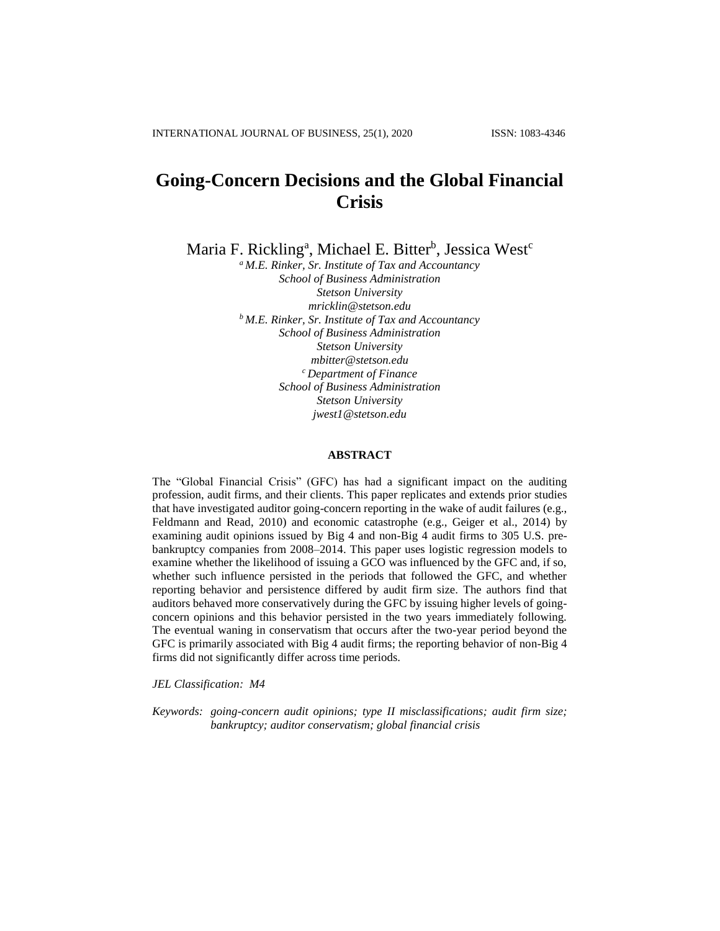# **Going-Concern Decisions and the Global Financial Crisis**

Maria F. Rickling<sup>a</sup>, Michael E. Bitter<sup>b</sup>, Jessica West<sup>c</sup>

*<sup>a</sup> M.E. Rinker, Sr. Institute of Tax and Accountancy School of Business Administration Stetson University mricklin@stetson.edu <sup>b</sup> M.E. Rinker, Sr. Institute of Tax and Accountancy School of Business Administration Stetson University mbitter@stetson.edu <sup>c</sup> Department of Finance School of Business Administration Stetson University jwest1@stetson.edu*

### **ABSTRACT**

The "Global Financial Crisis" (GFC) has had a significant impact on the auditing profession, audit firms, and their clients. This paper replicates and extends prior studies that have investigated auditor going-concern reporting in the wake of audit failures (e.g., Feldmann and Read, 2010) and economic catastrophe (e.g., Geiger et al., 2014) by examining audit opinions issued by Big 4 and non-Big 4 audit firms to 305 U.S. prebankruptcy companies from 2008–2014. This paper uses logistic regression models to examine whether the likelihood of issuing a GCO was influenced by the GFC and, if so, whether such influence persisted in the periods that followed the GFC, and whether reporting behavior and persistence differed by audit firm size. The authors find that auditors behaved more conservatively during the GFC by issuing higher levels of goingconcern opinions and this behavior persisted in the two years immediately following. The eventual waning in conservatism that occurs after the two-year period beyond the GFC is primarily associated with Big 4 audit firms; the reporting behavior of non-Big 4 firms did not significantly differ across time periods.

*JEL Classification: M4*

*Keywords: going-concern audit opinions; type II misclassifications; audit firm size; bankruptcy; auditor conservatism; global financial crisis*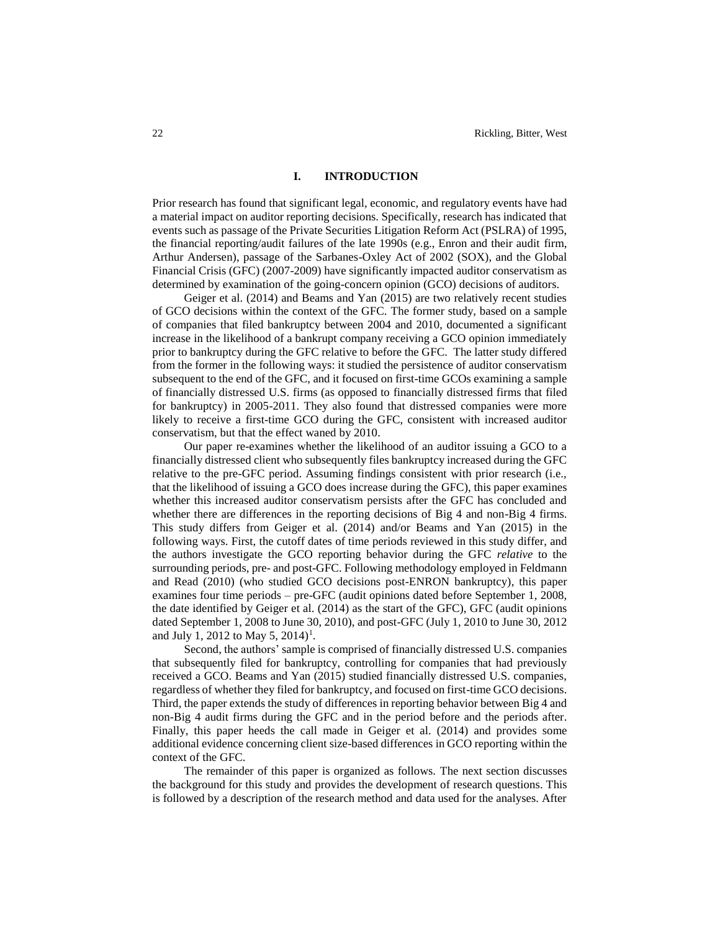### **I. INTRODUCTION**

Prior research has found that significant legal, economic, and regulatory events have had a material impact on auditor reporting decisions. Specifically, research has indicated that events such as passage of the Private Securities Litigation Reform Act (PSLRA) of 1995, the financial reporting/audit failures of the late 1990s (e.g., Enron and their audit firm, Arthur Andersen), passage of the Sarbanes-Oxley Act of 2002 (SOX), and the Global Financial Crisis (GFC) (2007-2009) have significantly impacted auditor conservatism as determined by examination of the going-concern opinion (GCO) decisions of auditors.

Geiger et al. (2014) and Beams and Yan (2015) are two relatively recent studies of GCO decisions within the context of the GFC. The former study, based on a sample of companies that filed bankruptcy between 2004 and 2010, documented a significant increase in the likelihood of a bankrupt company receiving a GCO opinion immediately prior to bankruptcy during the GFC relative to before the GFC. The latter study differed from the former in the following ways: it studied the persistence of auditor conservatism subsequent to the end of the GFC, and it focused on first-time GCOs examining a sample of financially distressed U.S. firms (as opposed to financially distressed firms that filed for bankruptcy) in 2005-2011. They also found that distressed companies were more likely to receive a first-time GCO during the GFC, consistent with increased auditor conservatism, but that the effect waned by 2010.

Our paper re-examines whether the likelihood of an auditor issuing a GCO to a financially distressed client who subsequently files bankruptcy increased during the GFC relative to the pre-GFC period. Assuming findings consistent with prior research (i.e., that the likelihood of issuing a GCO does increase during the GFC), this paper examines whether this increased auditor conservatism persists after the GFC has concluded and whether there are differences in the reporting decisions of Big 4 and non-Big 4 firms. This study differs from Geiger et al. (2014) and/or Beams and Yan (2015) in the following ways. First, the cutoff dates of time periods reviewed in this study differ, and the authors investigate the GCO reporting behavior during the GFC *relative* to the surrounding periods, pre- and post-GFC. Following methodology employed in Feldmann and Read (2010) (who studied GCO decisions post-ENRON bankruptcy), this paper examines four time periods – pre-GFC (audit opinions dated before September 1, 2008, the date identified by Geiger et al. (2014) as the start of the GFC), GFC (audit opinions dated September 1, 2008 to June 30, 2010), and post-GFC (July 1, 2010 to June 30, 2012 and July 1, 2012 to May 5, 2014)<sup>1</sup>.

Second, the authors' sample is comprised of financially distressed U.S. companies that subsequently filed for bankruptcy, controlling for companies that had previously received a GCO. Beams and Yan (2015) studied financially distressed U.S. companies, regardless of whether they filed for bankruptcy, and focused on first-time GCO decisions. Third, the paper extends the study of differences in reporting behavior between Big 4 and non-Big 4 audit firms during the GFC and in the period before and the periods after. Finally, this paper heeds the call made in Geiger et al. (2014) and provides some additional evidence concerning client size-based differences in GCO reporting within the context of the GFC.

The remainder of this paper is organized as follows. The next section discusses the background for this study and provides the development of research questions. This is followed by a description of the research method and data used for the analyses. After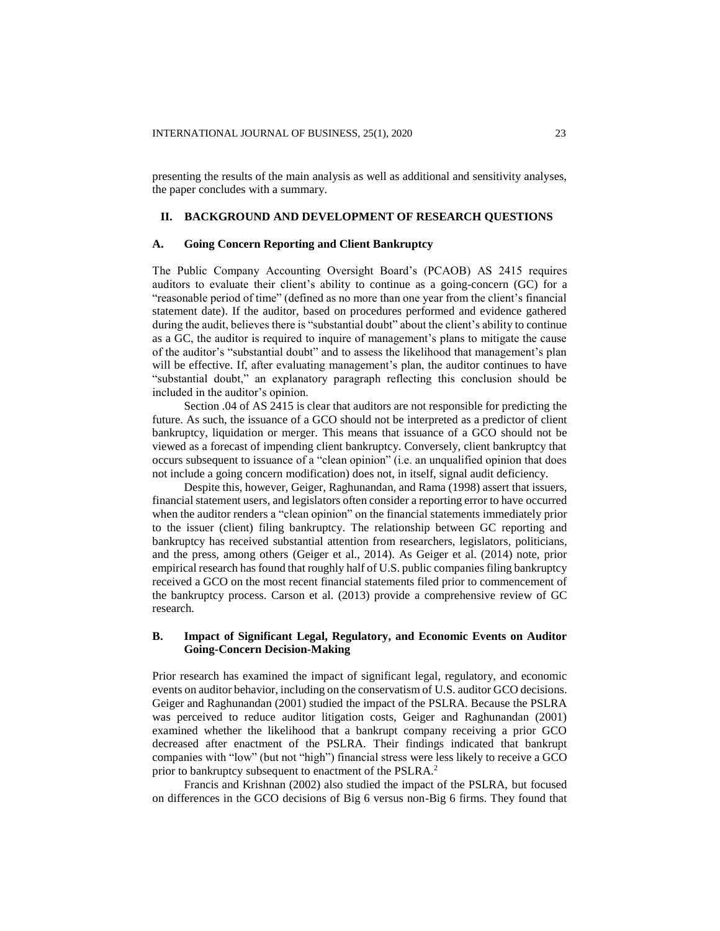presenting the results of the main analysis as well as additional and sensitivity analyses, the paper concludes with a summary.

### **II. BACKGROUND AND DEVELOPMENT OF RESEARCH QUESTIONS**

### **A. Going Concern Reporting and Client Bankruptcy**

The Public Company Accounting Oversight Board's (PCAOB) AS 2415 requires auditors to evaluate their client's ability to continue as a going-concern (GC) for a "reasonable period of time" (defined as no more than one year from the client's financial statement date). If the auditor, based on procedures performed and evidence gathered during the audit, believes there is "substantial doubt" about the client's ability to continue as a GC, the auditor is required to inquire of management's plans to mitigate the cause of the auditor's "substantial doubt" and to assess the likelihood that management's plan will be effective. If, after evaluating management's plan, the auditor continues to have "substantial doubt," an explanatory paragraph reflecting this conclusion should be included in the auditor's opinion.

Section .04 of AS 2415 is clear that auditors are not responsible for predicting the future. As such, the issuance of a GCO should not be interpreted as a predictor of client bankruptcy, liquidation or merger. This means that issuance of a GCO should not be viewed as a forecast of impending client bankruptcy. Conversely, client bankruptcy that occurs subsequent to issuance of a "clean opinion" (i.e. an unqualified opinion that does not include a going concern modification) does not, in itself, signal audit deficiency.

Despite this, however, Geiger, Raghunandan, and Rama (1998) assert that issuers, financial statement users, and legislators often consider a reporting error to have occurred when the auditor renders a "clean opinion" on the financial statements immediately prior to the issuer (client) filing bankruptcy. The relationship between GC reporting and bankruptcy has received substantial attention from researchers, legislators, politicians, and the press, among others (Geiger et al., 2014). As Geiger et al. (2014) note, prior empirical research has found that roughly half of U.S. public companies filing bankruptcy received a GCO on the most recent financial statements filed prior to commencement of the bankruptcy process. Carson et al. (2013) provide a comprehensive review of GC research.

## **B. Impact of Significant Legal, Regulatory, and Economic Events on Auditor Going-Concern Decision-Making**

Prior research has examined the impact of significant legal, regulatory, and economic events on auditor behavior, including on the conservatism of U.S. auditor GCO decisions. Geiger and Raghunandan (2001) studied the impact of the PSLRA. Because the PSLRA was perceived to reduce auditor litigation costs, Geiger and Raghunandan (2001) examined whether the likelihood that a bankrupt company receiving a prior GCO decreased after enactment of the PSLRA. Their findings indicated that bankrupt companies with "low" (but not "high") financial stress were less likely to receive a GCO prior to bankruptcy subsequent to enactment of the PSLRA.<sup>2</sup>

Francis and Krishnan (2002) also studied the impact of the PSLRA, but focused on differences in the GCO decisions of Big 6 versus non-Big 6 firms. They found that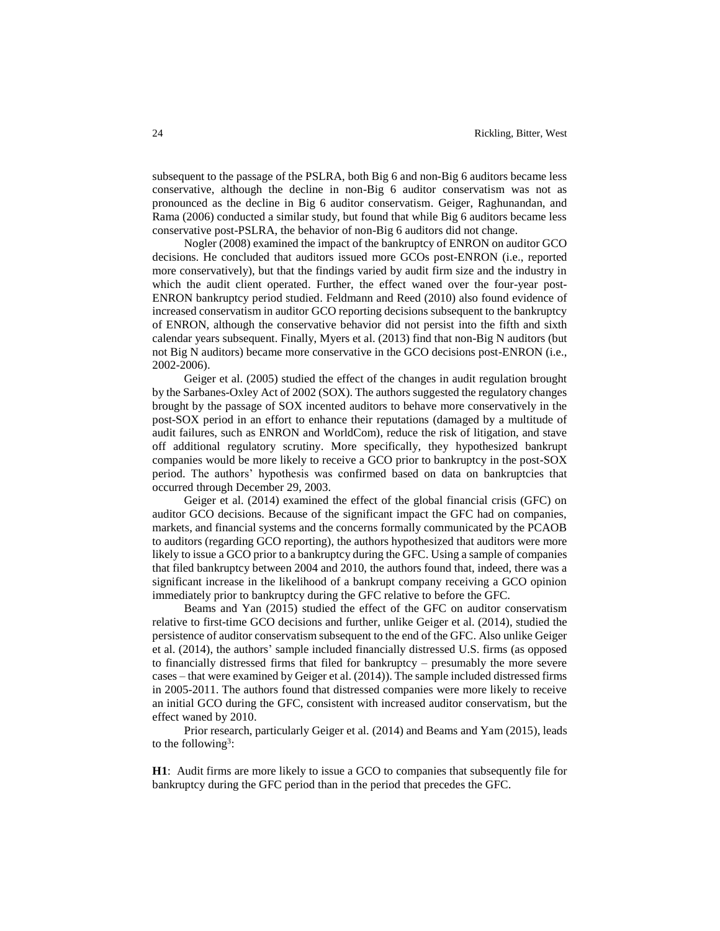subsequent to the passage of the PSLRA, both Big 6 and non-Big 6 auditors became less conservative, although the decline in non-Big 6 auditor conservatism was not as pronounced as the decline in Big 6 auditor conservatism. Geiger, Raghunandan, and Rama (2006) conducted a similar study, but found that while Big 6 auditors became less conservative post-PSLRA, the behavior of non-Big 6 auditors did not change.

Nogler (2008) examined the impact of the bankruptcy of ENRON on auditor GCO decisions. He concluded that auditors issued more GCOs post-ENRON (i.e., reported more conservatively), but that the findings varied by audit firm size and the industry in which the audit client operated. Further, the effect waned over the four-year post-ENRON bankruptcy period studied. Feldmann and Reed (2010) also found evidence of increased conservatism in auditor GCO reporting decisions subsequent to the bankruptcy of ENRON, although the conservative behavior did not persist into the fifth and sixth calendar years subsequent. Finally, Myers et al. (2013) find that non-Big N auditors (but not Big N auditors) became more conservative in the GCO decisions post-ENRON (i.e., 2002-2006).

Geiger et al. (2005) studied the effect of the changes in audit regulation brought by the Sarbanes-Oxley Act of 2002 (SOX). The authors suggested the regulatory changes brought by the passage of SOX incented auditors to behave more conservatively in the post-SOX period in an effort to enhance their reputations (damaged by a multitude of audit failures, such as ENRON and WorldCom), reduce the risk of litigation, and stave off additional regulatory scrutiny. More specifically, they hypothesized bankrupt companies would be more likely to receive a GCO prior to bankruptcy in the post-SOX period. The authors' hypothesis was confirmed based on data on bankruptcies that occurred through December 29, 2003.

Geiger et al. (2014) examined the effect of the global financial crisis (GFC) on auditor GCO decisions. Because of the significant impact the GFC had on companies, markets, and financial systems and the concerns formally communicated by the PCAOB to auditors (regarding GCO reporting), the authors hypothesized that auditors were more likely to issue a GCO prior to a bankruptcy during the GFC. Using a sample of companies that filed bankruptcy between 2004 and 2010, the authors found that, indeed, there was a significant increase in the likelihood of a bankrupt company receiving a GCO opinion immediately prior to bankruptcy during the GFC relative to before the GFC.

Beams and Yan (2015) studied the effect of the GFC on auditor conservatism relative to first-time GCO decisions and further, unlike Geiger et al. (2014), studied the persistence of auditor conservatism subsequent to the end of the GFC. Also unlike Geiger et al. (2014), the authors' sample included financially distressed U.S. firms (as opposed to financially distressed firms that filed for bankruptcy – presumably the more severe cases – that were examined by Geiger et al. (2014)). The sample included distressed firms in 2005-2011. The authors found that distressed companies were more likely to receive an initial GCO during the GFC, consistent with increased auditor conservatism, but the effect waned by 2010.

Prior research, particularly Geiger et al. (2014) and Beams and Yam (2015), leads to the following<sup>3</sup>:

**H1**: Audit firms are more likely to issue a GCO to companies that subsequently file for bankruptcy during the GFC period than in the period that precedes the GFC.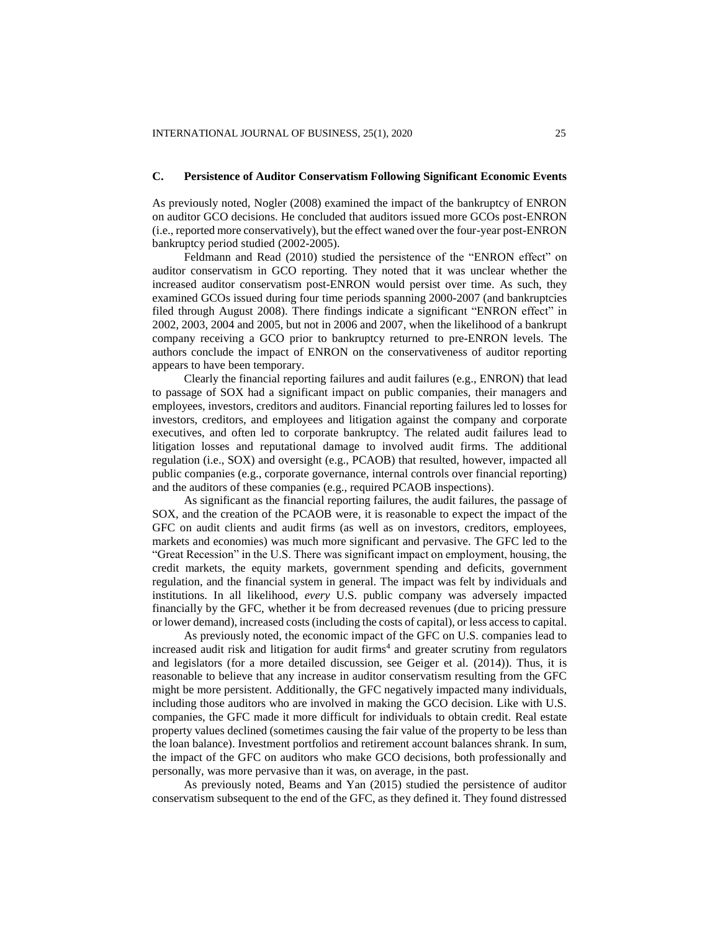### **C. Persistence of Auditor Conservatism Following Significant Economic Events**

As previously noted, Nogler (2008) examined the impact of the bankruptcy of ENRON on auditor GCO decisions. He concluded that auditors issued more GCOs post-ENRON (i.e., reported more conservatively), but the effect waned over the four-year post-ENRON bankruptcy period studied (2002-2005).

Feldmann and Read (2010) studied the persistence of the "ENRON effect" on auditor conservatism in GCO reporting. They noted that it was unclear whether the increased auditor conservatism post-ENRON would persist over time. As such, they examined GCOs issued during four time periods spanning 2000-2007 (and bankruptcies filed through August 2008). There findings indicate a significant "ENRON effect" in 2002, 2003, 2004 and 2005, but not in 2006 and 2007, when the likelihood of a bankrupt company receiving a GCO prior to bankruptcy returned to pre-ENRON levels. The authors conclude the impact of ENRON on the conservativeness of auditor reporting appears to have been temporary.

Clearly the financial reporting failures and audit failures (e.g., ENRON) that lead to passage of SOX had a significant impact on public companies, their managers and employees, investors, creditors and auditors. Financial reporting failures led to losses for investors, creditors, and employees and litigation against the company and corporate executives, and often led to corporate bankruptcy. The related audit failures lead to litigation losses and reputational damage to involved audit firms. The additional regulation (i.e., SOX) and oversight (e.g., PCAOB) that resulted, however, impacted all public companies (e.g., corporate governance, internal controls over financial reporting) and the auditors of these companies (e.g., required PCAOB inspections).

As significant as the financial reporting failures, the audit failures, the passage of SOX, and the creation of the PCAOB were, it is reasonable to expect the impact of the GFC on audit clients and audit firms (as well as on investors, creditors, employees, markets and economies) was much more significant and pervasive. The GFC led to the "Great Recession" in the U.S. There was significant impact on employment, housing, the credit markets, the equity markets, government spending and deficits, government regulation, and the financial system in general. The impact was felt by individuals and institutions. In all likelihood, *every* U.S. public company was adversely impacted financially by the GFC, whether it be from decreased revenues (due to pricing pressure or lower demand), increased costs (including the costs of capital), or less access to capital.

As previously noted, the economic impact of the GFC on U.S. companies lead to increased audit risk and litigation for audit firms<sup>4</sup> and greater scrutiny from regulators and legislators (for a more detailed discussion, see Geiger et al. (2014)). Thus, it is reasonable to believe that any increase in auditor conservatism resulting from the GFC might be more persistent. Additionally, the GFC negatively impacted many individuals, including those auditors who are involved in making the GCO decision. Like with U.S. companies, the GFC made it more difficult for individuals to obtain credit. Real estate property values declined (sometimes causing the fair value of the property to be less than the loan balance). Investment portfolios and retirement account balances shrank. In sum, the impact of the GFC on auditors who make GCO decisions, both professionally and personally, was more pervasive than it was, on average, in the past.

As previously noted, Beams and Yan (2015) studied the persistence of auditor conservatism subsequent to the end of the GFC, as they defined it. They found distressed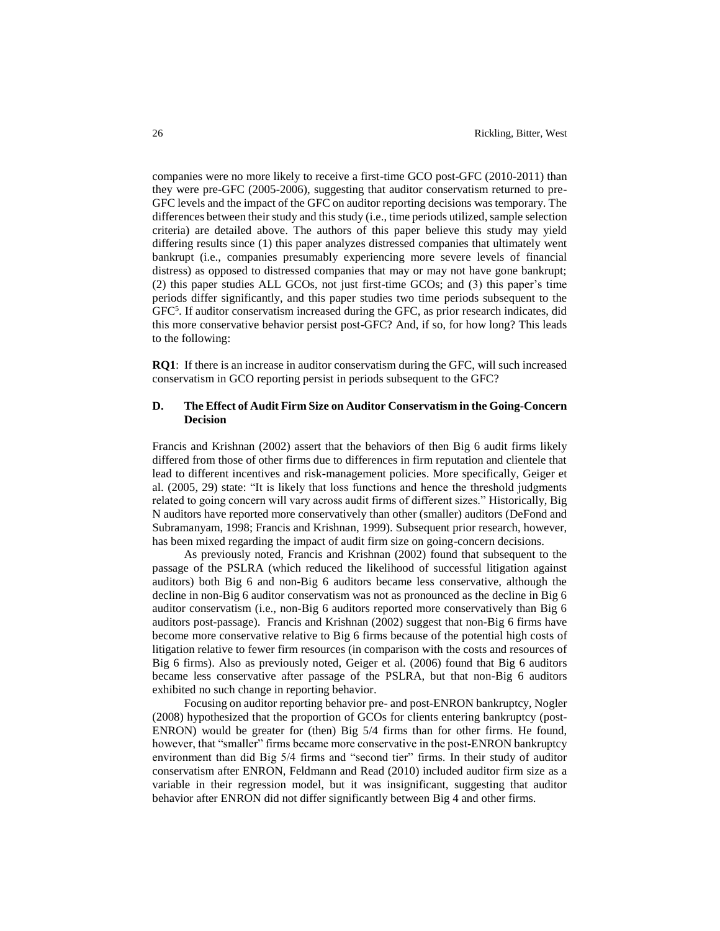companies were no more likely to receive a first-time GCO post-GFC (2010-2011) than they were pre-GFC (2005-2006), suggesting that auditor conservatism returned to pre-GFC levels and the impact of the GFC on auditor reporting decisions was temporary. The differences between their study and this study (i.e., time periods utilized, sample selection criteria) are detailed above. The authors of this paper believe this study may yield differing results since (1) this paper analyzes distressed companies that ultimately went bankrupt (i.e., companies presumably experiencing more severe levels of financial distress) as opposed to distressed companies that may or may not have gone bankrupt; (2) this paper studies ALL GCOs, not just first-time GCOs; and (3) this paper's time periods differ significantly, and this paper studies two time periods subsequent to the GFC<sup>5</sup>. If auditor conservatism increased during the GFC, as prior research indicates, did this more conservative behavior persist post-GFC? And, if so, for how long? This leads to the following:

**RQ1**: If there is an increase in auditor conservatism during the GFC, will such increased conservatism in GCO reporting persist in periods subsequent to the GFC?

# **D. The Effect of Audit Firm Size on Auditor Conservatism in the Going-Concern Decision**

Francis and Krishnan (2002) assert that the behaviors of then Big 6 audit firms likely differed from those of other firms due to differences in firm reputation and clientele that lead to different incentives and risk-management policies. More specifically, Geiger et al. (2005, 29) state: "It is likely that loss functions and hence the threshold judgments related to going concern will vary across audit firms of different sizes." Historically, Big N auditors have reported more conservatively than other (smaller) auditors (DeFond and Subramanyam, 1998; Francis and Krishnan, 1999). Subsequent prior research, however, has been mixed regarding the impact of audit firm size on going-concern decisions.

As previously noted, Francis and Krishnan (2002) found that subsequent to the passage of the PSLRA (which reduced the likelihood of successful litigation against auditors) both Big 6 and non-Big 6 auditors became less conservative, although the decline in non-Big 6 auditor conservatism was not as pronounced as the decline in Big 6 auditor conservatism (i.e., non-Big 6 auditors reported more conservatively than Big 6 auditors post-passage). Francis and Krishnan (2002) suggest that non-Big 6 firms have become more conservative relative to Big 6 firms because of the potential high costs of litigation relative to fewer firm resources (in comparison with the costs and resources of Big 6 firms). Also as previously noted, Geiger et al. (2006) found that Big 6 auditors became less conservative after passage of the PSLRA, but that non-Big 6 auditors exhibited no such change in reporting behavior.

Focusing on auditor reporting behavior pre- and post-ENRON bankruptcy, Nogler (2008) hypothesized that the proportion of GCOs for clients entering bankruptcy (post-ENRON) would be greater for (then) Big 5/4 firms than for other firms. He found, however, that "smaller" firms became more conservative in the post-ENRON bankruptcy environment than did Big 5/4 firms and "second tier" firms. In their study of auditor conservatism after ENRON, Feldmann and Read (2010) included auditor firm size as a variable in their regression model, but it was insignificant, suggesting that auditor behavior after ENRON did not differ significantly between Big 4 and other firms.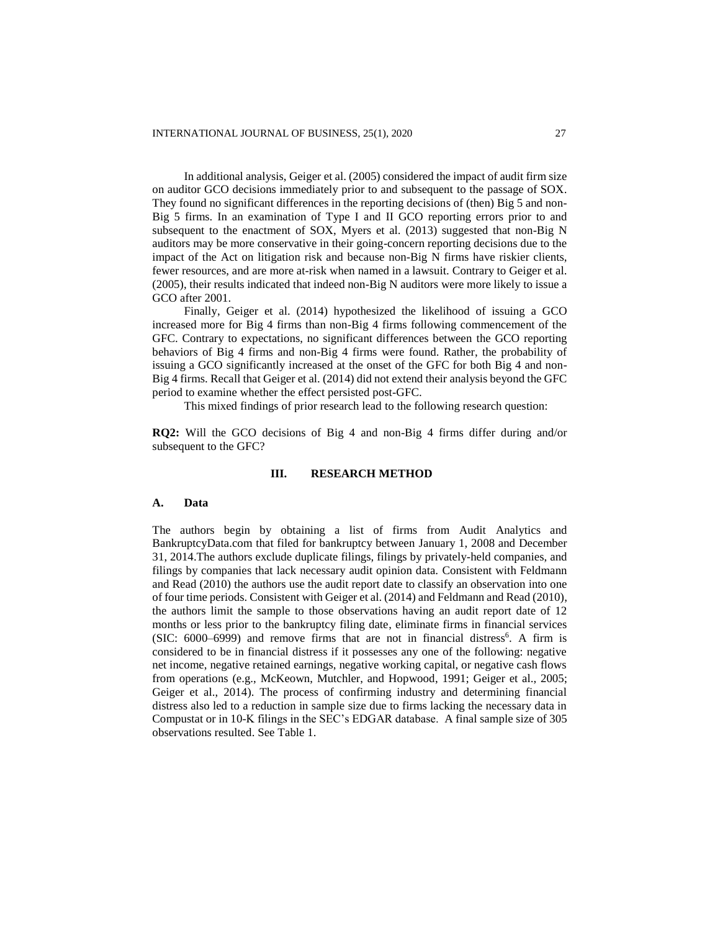In additional analysis, Geiger et al. (2005) considered the impact of audit firm size on auditor GCO decisions immediately prior to and subsequent to the passage of SOX. They found no significant differences in the reporting decisions of (then) Big 5 and non-Big 5 firms. In an examination of Type I and II GCO reporting errors prior to and subsequent to the enactment of SOX, Myers et al. (2013) suggested that non-Big N auditors may be more conservative in their going-concern reporting decisions due to the impact of the Act on litigation risk and because non-Big N firms have riskier clients, fewer resources, and are more at-risk when named in a lawsuit. Contrary to Geiger et al. (2005), their results indicated that indeed non-Big N auditors were more likely to issue a GCO after 2001.

Finally, Geiger et al. (2014) hypothesized the likelihood of issuing a GCO increased more for Big 4 firms than non-Big 4 firms following commencement of the GFC. Contrary to expectations, no significant differences between the GCO reporting behaviors of Big 4 firms and non-Big 4 firms were found. Rather, the probability of issuing a GCO significantly increased at the onset of the GFC for both Big 4 and non-Big 4 firms. Recall that Geiger et al. (2014) did not extend their analysis beyond the GFC period to examine whether the effect persisted post-GFC.

This mixed findings of prior research lead to the following research question:

**RQ2:** Will the GCO decisions of Big 4 and non-Big 4 firms differ during and/or subsequent to the GFC?

### **III. RESEARCH METHOD**

# **A. Data**

The authors begin by obtaining a list of firms from Audit Analytics and BankruptcyData.com that filed for bankruptcy between January 1, 2008 and December 31, 2014.The authors exclude duplicate filings, filings by privately-held companies, and filings by companies that lack necessary audit opinion data. Consistent with Feldmann and Read (2010) the authors use the audit report date to classify an observation into one of four time periods. Consistent with Geiger et al. (2014) and Feldmann and Read (2010), the authors limit the sample to those observations having an audit report date of 12 months or less prior to the bankruptcy filing date, eliminate firms in financial services  $(SIC: 6000-6999)$  and remove firms that are not in financial distress<sup>6</sup>. A firm is considered to be in financial distress if it possesses any one of the following: negative net income, negative retained earnings, negative working capital, or negative cash flows from operations (e.g., McKeown, Mutchler, and Hopwood, 1991; Geiger et al., 2005; Geiger et al., 2014). The process of confirming industry and determining financial distress also led to a reduction in sample size due to firms lacking the necessary data in Compustat or in 10-K filings in the SEC's EDGAR database. A final sample size of 305 observations resulted. See Table 1.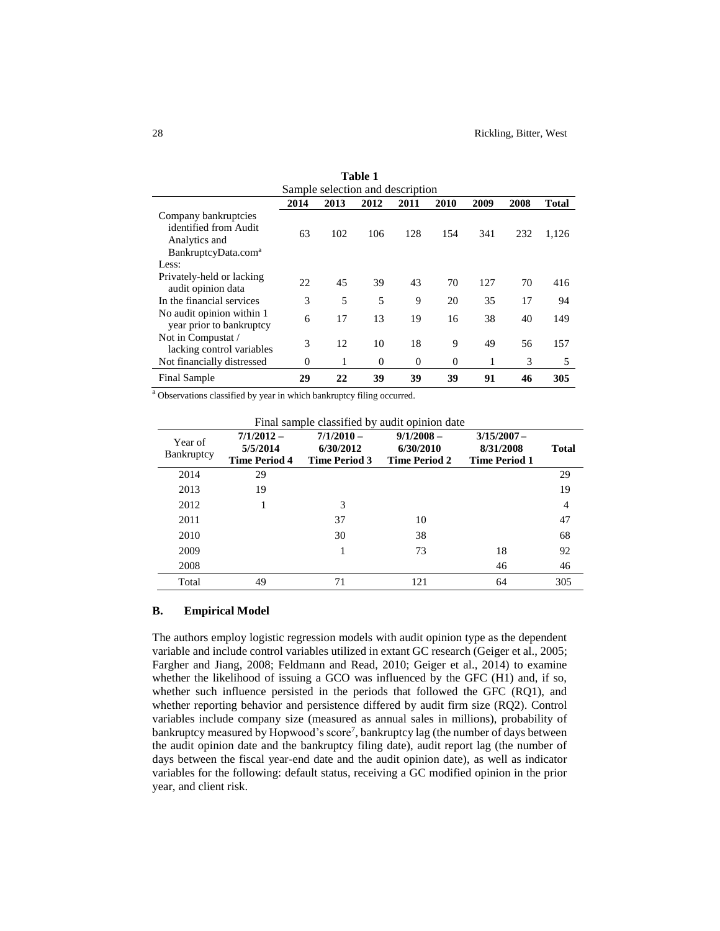|                                                       |          |      | Table 1                          |          |          |      |      |              |
|-------------------------------------------------------|----------|------|----------------------------------|----------|----------|------|------|--------------|
|                                                       |          |      | Sample selection and description |          |          |      |      |              |
|                                                       | 2014     | 2013 | 2012                             | 2011     | 2010     | 2009 | 2008 | <b>Total</b> |
| Company bankruptcies                                  |          |      |                                  |          |          |      |      |              |
| identified from Audit                                 | 63       | 102  | 106                              | 128      | 154      | 341  | 232  | 1,126        |
| Analytics and                                         |          |      |                                  |          |          |      |      |              |
| BankruptcyData.com <sup>a</sup>                       |          |      |                                  |          |          |      |      |              |
| Less:                                                 |          |      |                                  |          |          |      |      |              |
| Privately-held or lacking<br>audit opinion data       | 22       | 45   | 39                               | 43       | 70       | 127  | 70   | 416          |
| In the financial services                             | 3        | 5    | 5                                | 9        | 20       | 35   | 17   | 94           |
| No audit opinion within 1<br>year prior to bankruptcy | 6        | 17   | 13                               | 19       | 16       | 38   | 40   | 149          |
| Not in Compustat /<br>lacking control variables       | 3        | 12   | 10                               | 18       | 9        | 49   | 56   | 157          |
| Not financially distressed                            | $\Omega$ | 1    | $\Omega$                         | $\Omega$ | $\Omega$ | 1    | 3    | 5            |
| Final Sample                                          | 29       | 22   | 39                               | 39       | 39       | 91   | 46   | 305          |

<sup>a</sup> Observations classified by year in which bankruptcy filing occurred.

Final sample classified by audit opinion date

| Year of<br>Bankruptcy | $7/1/2012 -$<br>5/5/2014<br><b>Time Period 4</b> | $7/1/2010 -$<br>6/30/2012<br><b>Time Period 3</b> | $9/1/2008 -$<br>6/30/2010<br><b>Time Period 2</b> | $3/15/2007 -$<br>8/31/2008<br><b>Time Period 1</b> | <b>Total</b> |
|-----------------------|--------------------------------------------------|---------------------------------------------------|---------------------------------------------------|----------------------------------------------------|--------------|
| 2014                  | 29                                               |                                                   |                                                   |                                                    | 29           |
| 2013                  | 19                                               |                                                   |                                                   |                                                    | 19           |
| 2012                  | 1                                                | 3                                                 |                                                   |                                                    | 4            |
| 2011                  |                                                  | 37                                                | 10                                                |                                                    | 47           |
| 2010                  |                                                  | 30                                                | 38                                                |                                                    | 68           |
| 2009                  |                                                  | 1                                                 | 73                                                | 18                                                 | 92           |
| 2008                  |                                                  |                                                   |                                                   | 46                                                 | 46           |
| Total                 | 49                                               | 71                                                | 121                                               | 64                                                 | 305          |

### **B. Empirical Model**

The authors employ logistic regression models with audit opinion type as the dependent variable and include control variables utilized in extant GC research (Geiger et al., 2005; Fargher and Jiang, 2008; Feldmann and Read, 2010; Geiger et al., 2014) to examine whether the likelihood of issuing a GCO was influenced by the GFC (H1) and, if so, whether such influence persisted in the periods that followed the GFC (RQ1), and whether reporting behavior and persistence differed by audit firm size (RQ2). Control variables include company size (measured as annual sales in millions), probability of bankruptcy measured by Hopwood's score<sup>7</sup>, bankruptcy lag (the number of days between the audit opinion date and the bankruptcy filing date), audit report lag (the number of days between the fiscal year-end date and the audit opinion date), as well as indicator variables for the following: default status, receiving a GC modified opinion in the prior year, and client risk.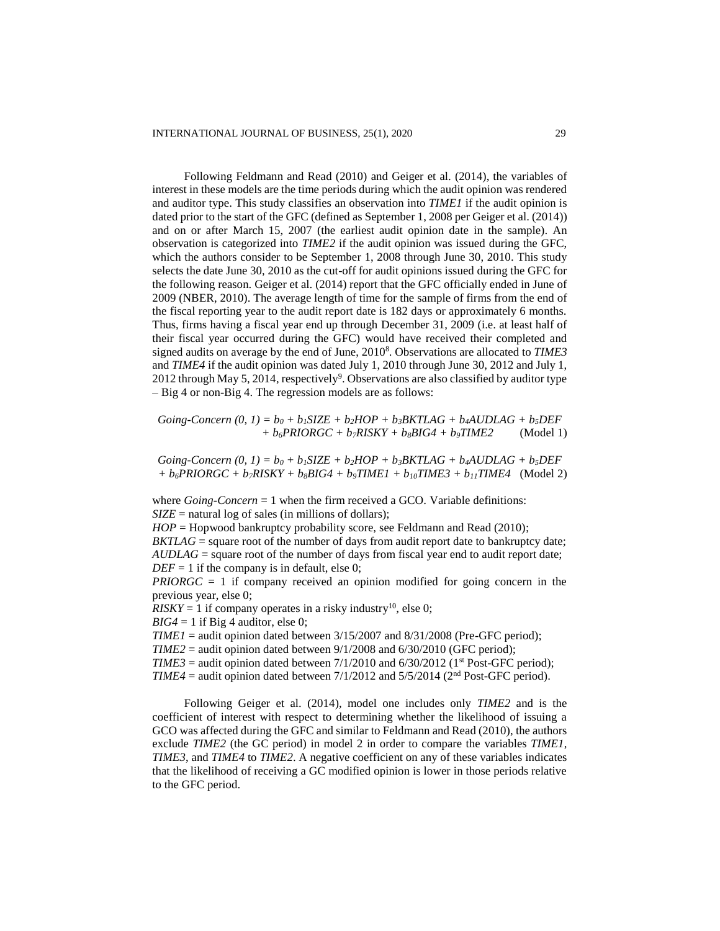Following Feldmann and Read (2010) and Geiger et al. (2014), the variables of interest in these models are the time periods during which the audit opinion was rendered and auditor type. This study classifies an observation into *TIME1* if the audit opinion is dated prior to the start of the GFC (defined as September 1, 2008 per Geiger et al. (2014)) and on or after March 15, 2007 (the earliest audit opinion date in the sample). An observation is categorized into *TIME2* if the audit opinion was issued during the GFC, which the authors consider to be September 1, 2008 through June 30, 2010. This study selects the date June 30, 2010 as the cut-off for audit opinions issued during the GFC for the following reason. Geiger et al. (2014) report that the GFC officially ended in June of 2009 (NBER, 2010). The average length of time for the sample of firms from the end of the fiscal reporting year to the audit report date is 182 days or approximately 6 months. Thus, firms having a fiscal year end up through December 31, 2009 (i.e. at least half of their fiscal year occurred during the GFC) would have received their completed and signed audits on average by the end of June, 2010<sup>8</sup> . Observations are allocated to *TIME3* and *TIME4* if the audit opinion was dated July 1, 2010 through June 30, 2012 and July 1, 2012 through May 5, 2014, respectively<sup>9</sup>. Observations are also classified by auditor type – Big 4 or non-Big 4. The regression models are as follows:

*Going-Concern*  $(0, 1) = b_0 + b_1$ *SIZE* +  $b_2$ *HOP* +  $b_3$ *BKTLAG* +  $b_4$ *AUDLAG* +  $b_5$ *DEF + b6PRIORGC + b7RISKY + b8BIG4 + b9TIME2* (Model 1)

 $Going-Concern (0, 1) = b<sub>0</sub> + b<sub>1</sub> SIZE + b<sub>2</sub>HOP + b<sub>3</sub>BKTLAG + b<sub>4</sub>ADDLAG + b<sub>5</sub>DEF$  $+ b_6 P R I OR G C + b_7 R I S K Y + b_8 B I G 4 + b_9 T I M E 1 + b_{10} T I M E 3 + b_{11} T I M E 4$  (Model 2)

where *Going-Concern* = 1 when the firm received a GCO. Variable definitions: *SIZE* = natural log of sales (in millions of dollars);

*HOP* = Hopwood bankruptcy probability score, see Feldmann and Read (2010); *BKTLAG* = square root of the number of days from audit report date to bankruptcy date; *AUDLAG* = square root of the number of days from fiscal year end to audit report date;

 $DEF = 1$  if the company is in default, else 0;

*PRIORGC* = 1 if company received an opinion modified for going concern in the previous year, else 0;

 $RISKY = 1$  if company operates in a risky industry<sup>10</sup>, else 0;

 $BIG4 = 1$  if Big 4 auditor, else 0;

*TIME1* = audit opinion dated between  $3/15/2007$  and  $8/31/2008$  (Pre-GFC period);

 $TIME2 =$  audit opinion dated between  $9/1/2008$  and  $6/30/2010$  (GFC period);

 $TIME3 =$  audit opinion dated between  $7/1/2010$  and  $6/30/2012$  (1<sup>st</sup> Post-GFC period);

*TIME4* = audit opinion dated between  $7/1/2012$  and  $5/5/2014$  ( $2<sup>nd</sup> Post-GFC period$ ).

Following Geiger et al. (2014), model one includes only *TIME2* and is the coefficient of interest with respect to determining whether the likelihood of issuing a GCO was affected during the GFC and similar to Feldmann and Read (2010), the authors exclude *TIME2* (the GC period) in model 2 in order to compare the variables *TIME1*, *TIME3*, and *TIME4* to *TIME2*. A negative coefficient on any of these variables indicates that the likelihood of receiving a GC modified opinion is lower in those periods relative to the GFC period.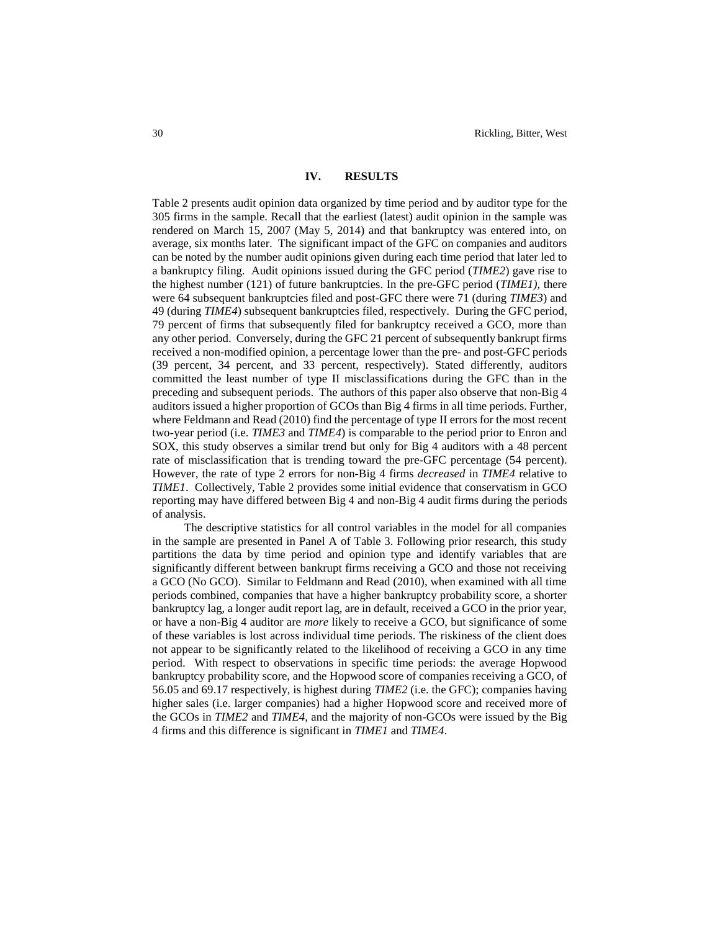### **IV. RESULTS**

Table 2 presents audit opinion data organized by time period and by auditor type for the 305 firms in the sample. Recall that the earliest (latest) audit opinion in the sample was rendered on March 15, 2007 (May 5, 2014) and that bankruptcy was entered into, on average, six months later. The significant impact of the GFC on companies and auditors can be noted by the number audit opinions given during each time period that later led to a bankruptcy filing. Audit opinions issued during the GFC period (*TIME2*) gave rise to the highest number (121) of future bankruptcies. In the pre-GFC period (*TIME1)*, there were 64 subsequent bankruptcies filed and post-GFC there were 71 (during *TIME3*) and 49 (during *TIME4*) subsequent bankruptcies filed, respectively. During the GFC period, 79 percent of firms that subsequently filed for bankruptcy received a GCO, more than any other period. Conversely, during the GFC 21 percent of subsequently bankrupt firms received a non-modified opinion, a percentage lower than the pre- and post-GFC periods (39 percent, 34 percent, and 33 percent, respectively). Stated differently, auditors committed the least number of type II misclassifications during the GFC than in the preceding and subsequent periods. The authors of this paper also observe that non-Big 4 auditors issued a higher proportion of GCOs than Big 4 firms in all time periods. Further, where Feldmann and Read (2010) find the percentage of type II errors for the most recent two-year period (i.e. *TIME3* and *TIME4*) is comparable to the period prior to Enron and SOX, this study observes a similar trend but only for Big 4 auditors with a 48 percent rate of misclassification that is trending toward the pre-GFC percentage (54 percent). However, the rate of type 2 errors for non-Big 4 firms *decreased* in *TIME4* relative to *TIME1*. Collectively, Table 2 provides some initial evidence that conservatism in GCO reporting may have differed between Big 4 and non-Big 4 audit firms during the periods of analysis.

The descriptive statistics for all control variables in the model for all companies in the sample are presented in Panel A of Table 3. Following prior research, this study partitions the data by time period and opinion type and identify variables that are significantly different between bankrupt firms receiving a GCO and those not receiving a GCO (No GCO). Similar to Feldmann and Read (2010), when examined with all time periods combined, companies that have a higher bankruptcy probability score, a shorter bankruptcy lag, a longer audit report lag, are in default, received a GCO in the prior year, or have a non-Big 4 auditor are *more* likely to receive a GCO, but significance of some of these variables is lost across individual time periods. The riskiness of the client does not appear to be significantly related to the likelihood of receiving a GCO in any time period. With respect to observations in specific time periods: the average Hopwood bankruptcy probability score, and the Hopwood score of companies receiving a GCO, of 56.05 and 69.17 respectively, is highest during *TIME2* (i.e. the GFC); companies having higher sales (i.e. larger companies) had a higher Hopwood score and received more of the GCOs in *TIME2* and *TIME4*, and the majority of non-GCOs were issued by the Big 4 firms and this difference is significant in *TIME1* and *TIME4*.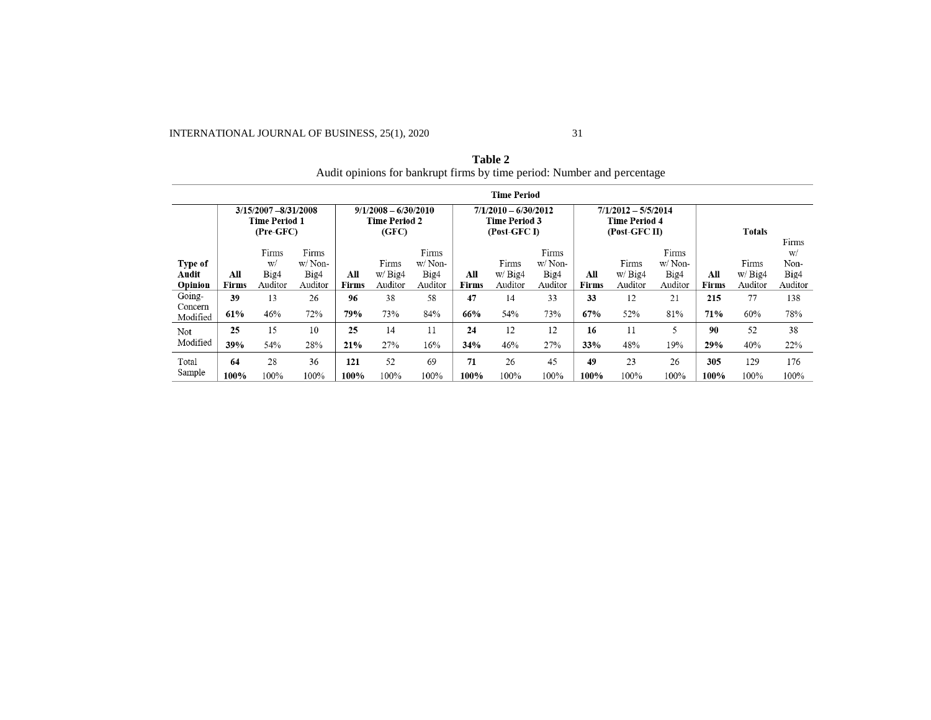INTERNATIONAL JOURNAL OF BUSINESS, 25(1), 2020 31

|                             |                     |                                                            |                                    |                     |                                                         |                                       |                     |                                                                |                                       |                     | Audit opinions for bankrupt mins by third perfour retimeer and percentage |                                    |              |                            |                                        |
|-----------------------------|---------------------|------------------------------------------------------------|------------------------------------|---------------------|---------------------------------------------------------|---------------------------------------|---------------------|----------------------------------------------------------------|---------------------------------------|---------------------|---------------------------------------------------------------------------|------------------------------------|--------------|----------------------------|----------------------------------------|
|                             |                     |                                                            |                                    |                     |                                                         |                                       |                     | <b>Time Period</b>                                             |                                       |                     |                                                                           |                                    |              |                            |                                        |
|                             |                     | 3/15/2007 - 8/31/2008<br><b>Time Period 1</b><br>(Pre-GFC) |                                    |                     | $9/1/2008 - 6/30/2010$<br><b>Time Period 2</b><br>(GFC) |                                       |                     | $7/1/2010 - 6/30/2012$<br><b>Time Period 3</b><br>(Post-GFC I) |                                       |                     | $7/1/2012 - 5/5/2014$<br><b>Time Period 4</b><br>(Post-GFC II)            |                                    |              | Totals                     |                                        |
| Type of<br>Audit<br>Opinion | All<br><b>Firms</b> | Firms<br>W/<br>Big4<br>Auditor                             | Firms<br>w/Non-<br>Big4<br>Auditor | All<br><b>Firms</b> | Firms<br>w/Biq4<br>Auditor                              | Firms<br>$w/N$ on-<br>Big4<br>Auditor | All<br><b>Firms</b> | Firms<br>W/Big4<br>Auditor                                     | Firms<br>$w/N$ on-<br>Big4<br>Auditor | All<br><b>Firms</b> | Firms<br>W/Big4<br>Auditor                                                | Firms<br>w/Non-<br>Big4<br>Auditor | All<br>Firms | Firms<br>W/Big4<br>Auditor | Firms<br>W/<br>Non-<br>Big4<br>Auditor |
| Going-                      | 39                  | 13                                                         | 26                                 | 96                  | 38                                                      | 58                                    | 47                  | 14                                                             | 33                                    | 33                  | 12                                                                        | 21                                 | 215          | 77                         | 138                                    |
| Concern<br>Modified         | 61%                 | 46%                                                        | 72%                                | 79%                 | 73%                                                     | 84%                                   | 66%                 | 54%                                                            | 73%                                   | 67%                 | 52%                                                                       | 81%                                | 71%          | 60%                        | 78%                                    |
| Not                         | 25                  | 15                                                         | 10                                 | 25                  | 14                                                      | 11                                    | 24                  | 12                                                             | 12                                    | 16                  | 11                                                                        | 5                                  | 90           | 52                         | 38                                     |
| Modified                    | 39%                 | 54%                                                        | 28%                                | 21%                 | 27%                                                     | 16%                                   | 34%                 | 46%                                                            | 27%                                   | 33%                 | 48%                                                                       | 19%                                | 29%          | 40%                        | 22%                                    |
| Total                       | 64                  | 28                                                         | 36                                 | 121                 | 52                                                      | 69                                    | 71                  | 26                                                             | 45                                    | 49                  | 23                                                                        | 26                                 | 305          | 129                        | 176                                    |
| Sample                      | 100%                | 100%                                                       | 100%                               | 100%                | 100%                                                    | 100%                                  | 100%                | 100%                                                           | 100%                                  | 100%                | 100%                                                                      | 100%                               | 100%         | 100%                       | 100%                                   |

**Table 2** Audit opinions for bankrupt firms by time period: Number and percentage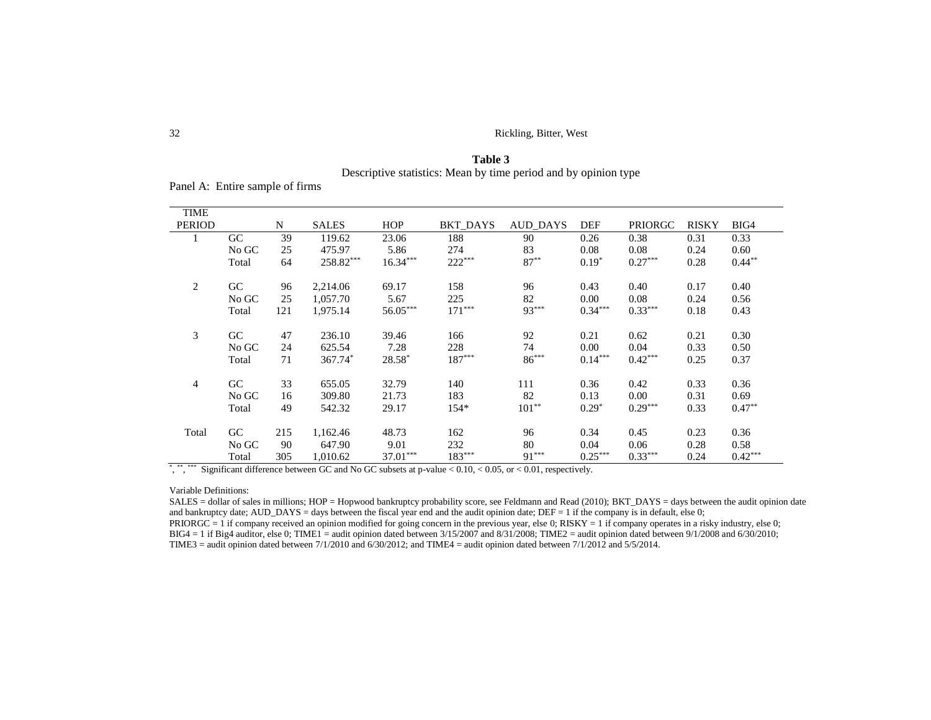32 Rickling, Bitter, West

**Table 3** Descriptive statistics: Mean by time period and by opinion type

Panel A: Entire sample of firms

| TIME           |       |     |              |            |          |          |           |                |              |           |
|----------------|-------|-----|--------------|------------|----------|----------|-----------|----------------|--------------|-----------|
| <b>PERIOD</b>  |       | N   | <b>SALES</b> | <b>HOP</b> | BKT DAYS | AUD_DAYS | DEF       | <b>PRIORGC</b> | <b>RISKY</b> | BIG4      |
|                | GC    | 39  | 119.62       | 23.06      | 188      | 90       | 0.26      | 0.38           | 0.31         | 0.33      |
|                | No GC | 25  | 475.97       | 5.86       | 274      | 83       | 0.08      | 0.08           | 0.24         | 0.60      |
|                | Total | 64  | 258.82***    | $16.34***$ | $222***$ | $87***$  | $0.19*$   | $0.27***$      | 0.28         | $0.44***$ |
|                |       |     |              |            |          |          |           |                |              |           |
| 2              | GC    | 96  | 2,214.06     | 69.17      | 158      | 96       | 0.43      | 0.40           | 0.17         | 0.40      |
|                | No GC | 25  | 1,057.70     | 5.67       | 225      | 82       | 0.00      | 0.08           | 0.24         | 0.56      |
|                | Total | 121 | 1,975.14     | 56.05***   | $171***$ | $93***$  | $0.34***$ | $0.33***$      | 0.18         | 0.43      |
|                |       |     |              |            |          |          |           |                |              |           |
| 3              | GC    | 47  | 236.10       | 39.46      | 166      | 92       | 0.21      | 0.62           | 0.21         | 0.30      |
|                | No GC | 24  | 625.54       | 7.28       | 228      | 74       | 0.00      | 0.04           | 0.33         | 0.50      |
|                | Total | 71  | 367.74*      | $28.58*$   | $187***$ | $86***$  | $0.14***$ | $0.42***$      | 0.25         | 0.37      |
|                |       |     |              |            |          |          |           |                |              |           |
| $\overline{4}$ | GC    | 33  | 655.05       | 32.79      | 140      | 111      | 0.36      | 0.42           | 0.33         | 0.36      |
|                | No GC | 16  | 309.80       | 21.73      | 183      | 82       | 0.13      | 0.00           | 0.31         | 0.69      |
|                | Total | 49  | 542.32       | 29.17      | $154*$   | $101**$  | $0.29*$   | $0.29***$      | 0.33         | $0.47**$  |
|                |       |     |              |            |          |          |           |                |              |           |
| Total          | GC    | 215 | 1,162.46     | 48.73      | 162      | 96       | 0.34      | 0.45           | 0.23         | 0.36      |
|                | No GC | 90  | 647.90       | 9.01       | 232      | 80       | 0.04      | 0.06           | 0.28         | 0.58      |
|                | Total | 305 | 1,010.62     | $37.01***$ | $183***$ | $91***$  | $0.25***$ | $0.33***$      | 0.24         | $0.42***$ |

\*, \*\*\*\*\*\*\*\* Significant difference between GC and No GC subsets at p-value  $< 0.10, < 0.05$ , or  $< 0.01$ , respectively.

Variable Definitions:

SALES = dollar of sales in millions; HOP = Hopwood bankruptcy probability score, see Feldmann and Read (2010); BKT\_DAYS = days between the audit opinion date and bankruptcy date; AUD\_DAYS = days between the fiscal year end and the audit opinion date;  $DEF = 1$  if the company is in default, else 0; PRIORGC = 1 if company received an opinion modified for going concern in the previous year, else 0; RISKY = 1 if company operates in a risky industry, else 0; BIG4 = 1 if Big4 auditor, else 0; TIME1 = audit opinion dated between  $3/15/2007$  and  $8/31/2008$ ; TIME2 = audit opinion dated between  $9/1/2008$  and  $6/30/2010$ ; TIME3 = audit opinion dated between 7/1/2010 and 6/30/2012; and TIME4 = audit opinion dated between 7/1/2012 and 5/5/2014.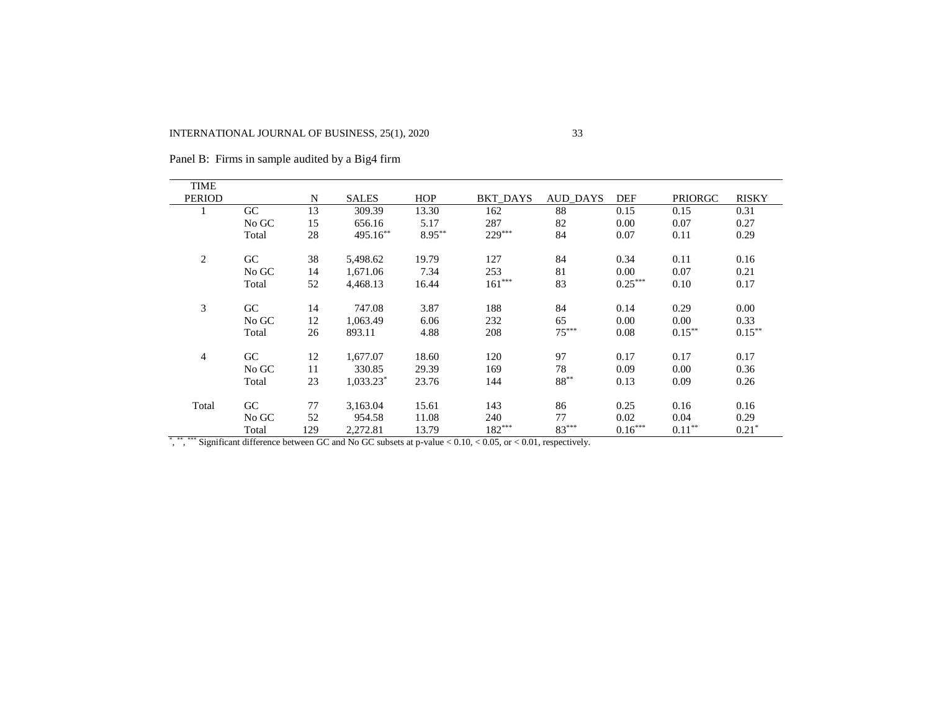| <b>TIME</b>              |       |     |              |           |                                                                                                                                 |                 |            |                |              |
|--------------------------|-------|-----|--------------|-----------|---------------------------------------------------------------------------------------------------------------------------------|-----------------|------------|----------------|--------------|
| <b>PERIOD</b>            |       | N   | <b>SALES</b> | HOP       | <b>BKT DAYS</b>                                                                                                                 | AUD_DAYS        | <b>DEF</b> | <b>PRIORGC</b> | <b>RISKY</b> |
|                          | GC    | 13  | 309.39       | 13.30     | 162                                                                                                                             | 88              | 0.15       | 0.15           | 0.31         |
|                          | No GC | 15  | 656.16       | 5.17      | 287                                                                                                                             | 82              | 0.00       | 0.07           | 0.27         |
|                          | Total | 28  | 495.16**     | $8.95***$ | 229***                                                                                                                          | 84              | 0.07       | 0.11           | 0.29         |
| $\overline{c}$           | GC    | 38  | 5,498.62     | 19.79     | 127                                                                                                                             | 84              | 0.34       | 0.11           | 0.16         |
|                          | No GC | 14  | 1,671.06     | 7.34      | 253                                                                                                                             | 81              | 0.00       | 0.07           | 0.21         |
|                          | Total | 52  | 4,468.13     | 16.44     | $161***$                                                                                                                        | 83              | $0.25***$  | 0.10           | 0.17         |
| 3                        | GC    | 14  | 747.08       | 3.87      | 188                                                                                                                             | 84              | 0.14       | 0.29           | 0.00         |
|                          | No GC | 12  | 1,063.49     | 6.06      | 232                                                                                                                             | 65              | 0.00       | 0.00           | 0.33         |
|                          | Total | 26  | 893.11       | 4.88      | 208                                                                                                                             | $75***$         | 0.08       | $0.15***$      | $0.15***$    |
| $\overline{\mathcal{A}}$ | GC    | 12  | 1,677.07     | 18.60     | 120                                                                                                                             | 97              | 0.17       | 0.17           | 0.17         |
|                          | No GC | 11  | 330.85       | 29.39     | 169                                                                                                                             | 78              | 0.09       | 0.00           | 0.36         |
|                          | Total | 23  | $1,033.23^*$ | 23.76     | 144                                                                                                                             | $88^{\ast\ast}$ | 0.13       | 0.09           | 0.26         |
| Total                    | GC    | 77  | 3,163.04     | 15.61     | 143                                                                                                                             | 86              | 0.25       | 0.16           | 0.16         |
|                          | No GC | 52  | 954.58       | 11.08     | 240                                                                                                                             | 77              | 0.02       | 0.04           | 0.29         |
|                          | Total | 129 | 2,272.81     | 13.79     | 182***                                                                                                                          | $83***$         | $0.16***$  | $0.11***$      | $0.21*$      |
|                          |       |     |              |           | $\frac{1}{2}$ , **, *** Significant difference between GC and No GC subsets at p-value < 0.10, < 0.05, or < 0.01, respectively. |                 |            |                |              |

Panel B: Firms in sample audited by a Big4 firm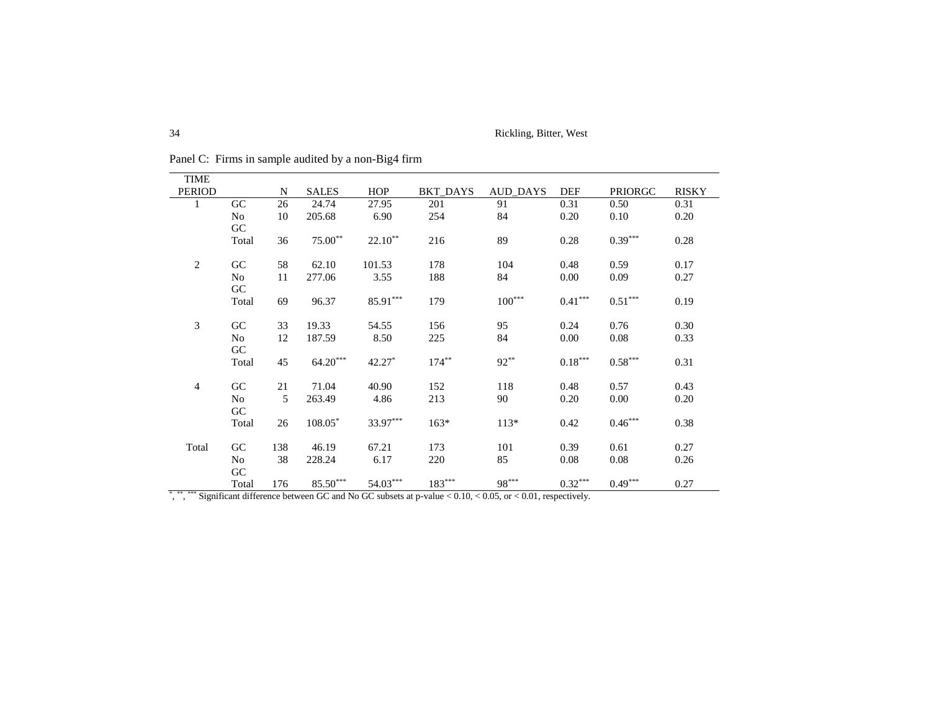| <b>TIME</b>    |       |     |                        |            |          |                                                                                                                           |                       |                       |              |
|----------------|-------|-----|------------------------|------------|----------|---------------------------------------------------------------------------------------------------------------------------|-----------------------|-----------------------|--------------|
| <b>PERIOD</b>  |       | N   | <b>SALES</b>           | HOP        | BKT_DAYS | <b>AUD_DAYS</b>                                                                                                           | DEF                   | <b>PRIORGC</b>        | <b>RISKY</b> |
| 1              | GC    | 26  | 24.74                  | 27.95      | 201      | 91                                                                                                                        | 0.31                  | 0.50                  | 0.31         |
|                | No    | 10  | 205.68                 | 6.90       | 254      | 84                                                                                                                        | 0.20                  | 0.10                  | 0.20         |
|                | GC    |     |                        |            |          |                                                                                                                           |                       |                       |              |
|                | Total | 36  | $75.00**$              | $22.10**$  | 216      | 89                                                                                                                        | 0.28                  | $0.39***$             | 0.28         |
|                |       |     |                        |            |          |                                                                                                                           |                       |                       |              |
| $\sqrt{2}$     | GC    | 58  | 62.10                  | 101.53     | 178      | 104                                                                                                                       | 0.48                  | 0.59                  | 0.17         |
|                | No    | 11  | 277.06                 | 3.55       | 188      | 84                                                                                                                        | 0.00                  | 0.09                  | 0.27         |
|                | GC    |     |                        |            |          |                                                                                                                           |                       |                       |              |
|                | Total | 69  | 96.37                  | $85.91***$ | 179      | $100^{***}$                                                                                                               | $0.41***$             | $0.51***$             | 0.19         |
|                |       |     |                        |            |          |                                                                                                                           |                       |                       |              |
| 3              | GC    | 33  | 19.33                  | 54.55      | 156      | 95                                                                                                                        | 0.24                  | 0.76                  | 0.30         |
|                | No    | 12  | 187.59                 | 8.50       | 225      | 84                                                                                                                        | 0.00                  | 0.08                  | 0.33         |
|                | GC    |     |                        |            |          |                                                                                                                           |                       |                       |              |
|                | Total | 45  | $64.20***$             | $42.27*$   | $174***$ | $92**$                                                                                                                    | $0.18^{\ast\ast\ast}$ | $0.58^{\ast\ast\ast}$ | 0.31         |
|                |       |     |                        |            |          |                                                                                                                           |                       |                       |              |
| $\overline{4}$ | GC    | 21  | 71.04                  | 40.90      | 152      | 118                                                                                                                       | 0.48                  | 0.57                  | 0.43         |
|                | No    | 5   | 263.49                 | 4.86       | 213      | 90                                                                                                                        | 0.20                  | 0.00                  | 0.20         |
|                | GC    |     |                        |            |          |                                                                                                                           |                       |                       |              |
|                | Total | 26  | $108.05*$              | 33.97***   | $163*$   | $113*$                                                                                                                    | 0.42                  | $0.46^{\ast\ast\ast}$ | 0.38         |
| Total          | GC    | 138 | 46.19                  | 67.21      | 173      | 101                                                                                                                       | 0.39                  | 0.61                  | 0.27         |
|                | No    | 38  | 228.24                 | 6.17       | 220      | 85                                                                                                                        | 0.08                  | 0.08                  | 0.26         |
|                | GC    |     |                        |            |          |                                                                                                                           |                       |                       |              |
|                | Total | 176 | $85.50^{\ast\ast\ast}$ | $54.03***$ | $183***$ | $98***$                                                                                                                   | $0.32***$             | $0.49***$             | 0.27         |
|                |       |     |                        |            |          | *, *** **** Significant difference between GC and No GC subsets at p-value $< 0.10, < 0.05$ , or $< 0.01$ , respectively. |                       |                       |              |

Panel C: Firms in sample audited by a non-Big4 firm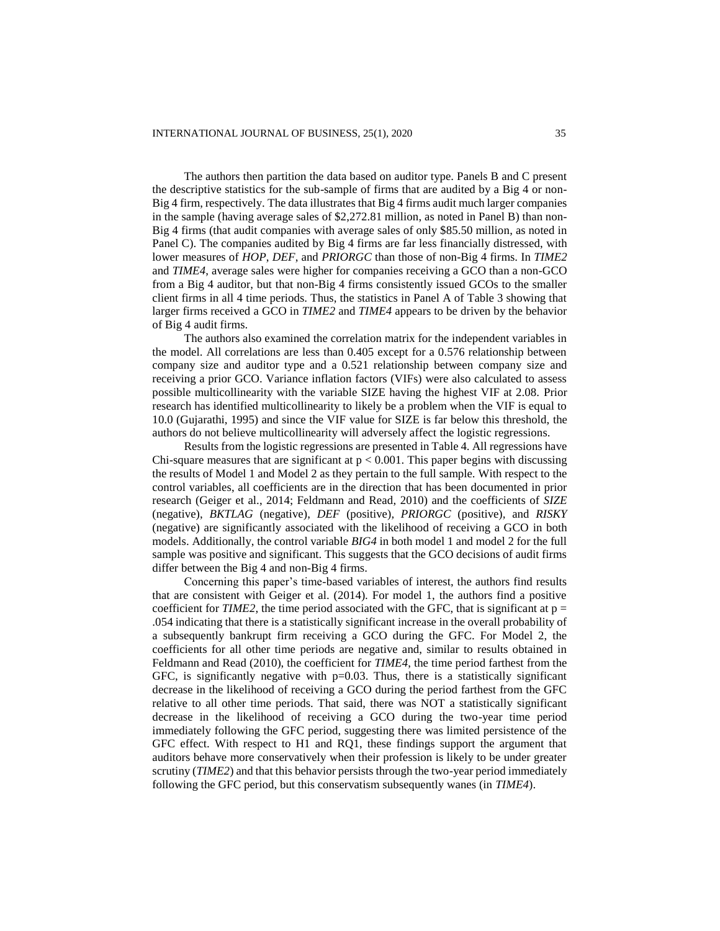The authors then partition the data based on auditor type. Panels B and C present the descriptive statistics for the sub-sample of firms that are audited by a Big 4 or non-Big 4 firm, respectively. The data illustrates that Big 4 firms audit much larger companies in the sample (having average sales of \$2,272.81 million, as noted in Panel B) than non-Big 4 firms (that audit companies with average sales of only \$85.50 million, as noted in Panel C). The companies audited by Big 4 firms are far less financially distressed, with lower measures of *HOP*, *DEF*, and *PRIORGC* than those of non-Big 4 firms. In *TIME2* and *TIME4*, average sales were higher for companies receiving a GCO than a non-GCO from a Big 4 auditor, but that non-Big 4 firms consistently issued GCOs to the smaller client firms in all 4 time periods. Thus, the statistics in Panel A of Table 3 showing that larger firms received a GCO in *TIME2* and *TIME4* appears to be driven by the behavior of Big 4 audit firms.

The authors also examined the correlation matrix for the independent variables in the model. All correlations are less than 0.405 except for a 0.576 relationship between company size and auditor type and a 0.521 relationship between company size and receiving a prior GCO. Variance inflation factors (VIFs) were also calculated to assess possible multicollinearity with the variable SIZE having the highest VIF at 2.08. Prior research has identified multicollinearity to likely be a problem when the VIF is equal to 10.0 (Gujarathi, 1995) and since the VIF value for SIZE is far below this threshold, the authors do not believe multicollinearity will adversely affect the logistic regressions.

Results from the logistic regressions are presented in Table 4. All regressions have Chi-square measures that are significant at  $p < 0.001$ . This paper begins with discussing the results of Model 1 and Model 2 as they pertain to the full sample. With respect to the control variables, all coefficients are in the direction that has been documented in prior research (Geiger et al., 2014; Feldmann and Read, 2010) and the coefficients of *SIZE* (negative), *BKTLAG* (negative), *DEF* (positive)*, PRIORGC* (positive)*,* and *RISKY* (negative) are significantly associated with the likelihood of receiving a GCO in both models. Additionally, the control variable *BIG4* in both model 1 and model 2 for the full sample was positive and significant. This suggests that the GCO decisions of audit firms differ between the Big 4 and non-Big 4 firms.

Concerning this paper's time-based variables of interest, the authors find results that are consistent with Geiger et al. (2014). For model 1, the authors find a positive coefficient for *TIME2*, the time period associated with the GFC, that is significant at  $p =$ .054 indicating that there is a statistically significant increase in the overall probability of a subsequently bankrupt firm receiving a GCO during the GFC. For Model 2, the coefficients for all other time periods are negative and, similar to results obtained in Feldmann and Read (2010), the coefficient for *TIME4*, the time period farthest from the GFC, is significantly negative with  $p=0.03$ . Thus, there is a statistically significant decrease in the likelihood of receiving a GCO during the period farthest from the GFC relative to all other time periods. That said, there was NOT a statistically significant decrease in the likelihood of receiving a GCO during the two-year time period immediately following the GFC period, suggesting there was limited persistence of the GFC effect. With respect to H1 and RQ1, these findings support the argument that auditors behave more conservatively when their profession is likely to be under greater scrutiny (*TIME2*) and that this behavior persists through the two-year period immediately following the GFC period, but this conservatism subsequently wanes (in *TIME4*).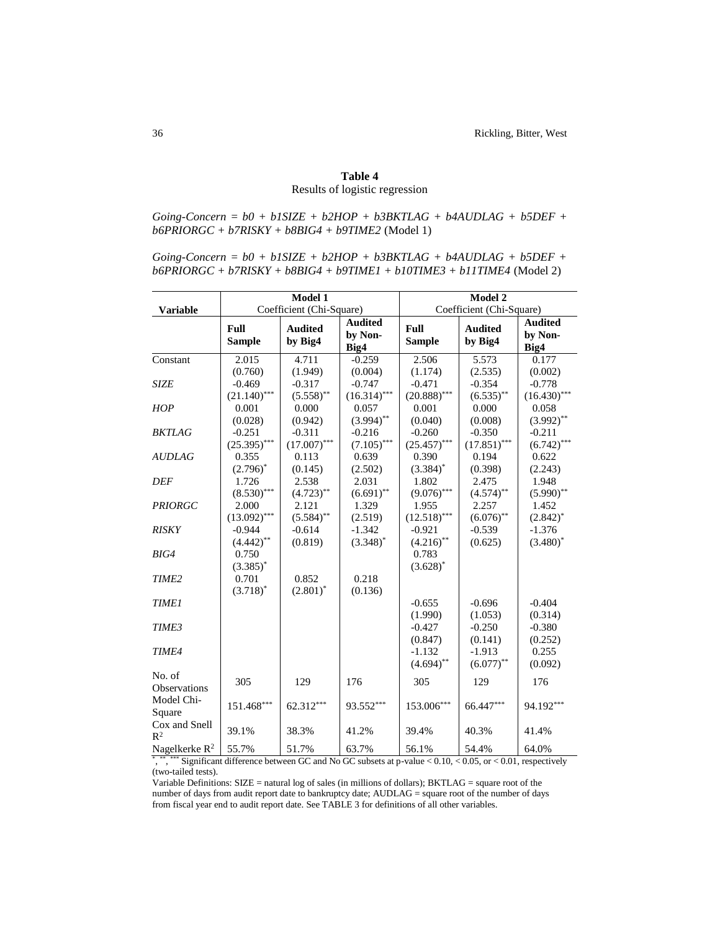# **Table 4** Results of logistic regression

 $Going\text{-}Concern = b0 + b1SIZE + b2HOP + b3BKTLAG + b4AUDLAG + b5DEF +$ *b6PRIORGC + b7RISKY + b8BIG4 + b9TIME2* (Model 1)

*Going-Concern = b0 + b1SIZE + b2HOP + b3BKTLAG + b4AUDLAG + b5DEF + b6PRIORGC + b7RISKY + b8BIG4 + b9TIME1 + b10TIME3 + b11TIME4* (Model 2)

|                                 |                            | Model 1                                   |                                   |                            | Model 2                    |                                   |  |  |
|---------------------------------|----------------------------|-------------------------------------------|-----------------------------------|----------------------------|----------------------------|-----------------------------------|--|--|
| <b>Variable</b>                 |                            | Coefficient (Chi-Square)                  |                                   | Coefficient (Chi-Square)   |                            |                                   |  |  |
|                                 | Full<br><b>Sample</b>      | <b>Audited</b><br>by Big4                 | <b>Audited</b><br>by Non-<br>Big4 | Full<br><b>Sample</b>      | <b>Audited</b><br>by Big4  | <b>Audited</b><br>by Non-<br>Big4 |  |  |
| Constant                        | 2.015<br>(0.760)           | 4.711<br>(1.949)                          | $-0.259$<br>(0.004)               | 2.506<br>(1.174)           | 5.573<br>(2.535)           | 0.177<br>(0.002)                  |  |  |
| <b>SIZE</b>                     | $-0.469$<br>$(21.140)$ *** | $-0.317$<br>$(5.558)$ **                  | $-0.747$<br>$(16.314)$ ***        | $-0.471$<br>$(20.888)$ *** | $-0.354$<br>$(6.535)$ **   | $-0.778$<br>$(16.430)$ ***        |  |  |
| <b>HOP</b>                      | 0.001<br>(0.028)           | 0.000<br>(0.942)                          | 0.057<br>$(3.994)$ **             | 0.001<br>(0.040)           | 0.000<br>(0.008)           | 0.058<br>$(3.992)$ **             |  |  |
| <b>BKTLAG</b>                   | $-0.251$<br>$(25.395)$ *** | $-0.311$<br>${\left(17.007\right)}^{***}$ | $-0.216$<br>$(7.105)$ ***         | $-0.260$<br>$(25.457)$ *** | $-0.350$<br>$(17.851)$ *** | $-0.211$<br>$(6.742)$ ***         |  |  |
| <b>AUDLAG</b>                   | 0.355<br>$(2.796)^*$       | 0.113<br>(0.145)                          | 0.639<br>(2.502)                  | 0.390<br>$(3.384)^{*}$     | 0.194<br>(0.398)           | 0.622<br>(2.243)                  |  |  |
| <b>DEF</b>                      | 1.726<br>$(8.530)$ ***     | 2.538<br>$(4.723)$ **                     | 2.031<br>$(6.691)$ **             | 1.802<br>$(9.076)$ ***     | 2.475<br>$(4.574)$ **      | 1.948<br>$(5.990)$ **             |  |  |
| <b>PRIORGC</b>                  | 2.000<br>$(13.092)$ ***    | 2.121<br>$(5.584)$ **                     | 1.329<br>(2.519)                  | 1.955<br>$(12.518)$ ***    | 2.257<br>$(6.076)$ **      | 1.452<br>$(2.842)^*$              |  |  |
| <b>RISKY</b>                    | $-0.944$<br>$(4.442)$ **   | $-0.614$<br>(0.819)                       | $-1.342$<br>$(3.348)^*$           | $-0.921$<br>$(4.216)$ **   | $-0.539$<br>(0.625)        | $-1.376$<br>$(3.480)^*$           |  |  |
| BIG4                            | 0.750<br>$(3.385)^*$       |                                           |                                   | 0.783<br>$(3.628)^*$       |                            |                                   |  |  |
| TIME <sub>2</sub>               | 0.701<br>$(3.718)^{*}$     | 0.852<br>$(2.801)^*$                      | 0.218<br>(0.136)                  |                            |                            |                                   |  |  |
| <b>TIME1</b>                    |                            |                                           |                                   | $-0.655$<br>(1.990)        | $-0.696$<br>(1.053)        | $-0.404$<br>(0.314)               |  |  |
| TIME3                           |                            |                                           |                                   | $-0.427$<br>(0.847)        | $-0.250$<br>(0.141)        | $-0.380$<br>(0.252)               |  |  |
| TIME4                           |                            |                                           |                                   | $-1.132$<br>$(4.694)$ **   | $-1.913$<br>$(6.077)$ **   | 0.255<br>(0.092)                  |  |  |
| No. of<br>Observations          | 305                        | 129                                       | 176                               | 305                        | 129                        | 176                               |  |  |
| Model Chi-<br>Square            | $151.468***$               | 62.312***                                 | 93.552***                         | 153.006***                 | 66.447***                  | 94.192***                         |  |  |
| Cox and Snell<br>$\mathbb{R}^2$ | 39.1%                      | 38.3%                                     | 41.2%                             | 39.4%                      | 40.3%                      | 41.4%                             |  |  |
| Nagelkerke $R^2$                | 55.7%                      | 51.7%                                     | 63.7%                             | 56.1%                      | 54.4%                      | 64.0%                             |  |  |

\*, \*\*, \*\*\*\* Significant difference between GC and No GC subsets at p-value  $< 0.10, < 0.05$ , or  $< 0.01$ , respectively (two-tailed tests).

Variable Definitions: SIZE = natural log of sales (in millions of dollars); BKTLAG = square root of the number of days from audit report date to bankruptcy date; AUDLAG = square root of the number of days from fiscal year end to audit report date. See TABLE 3 for definitions of all other variables.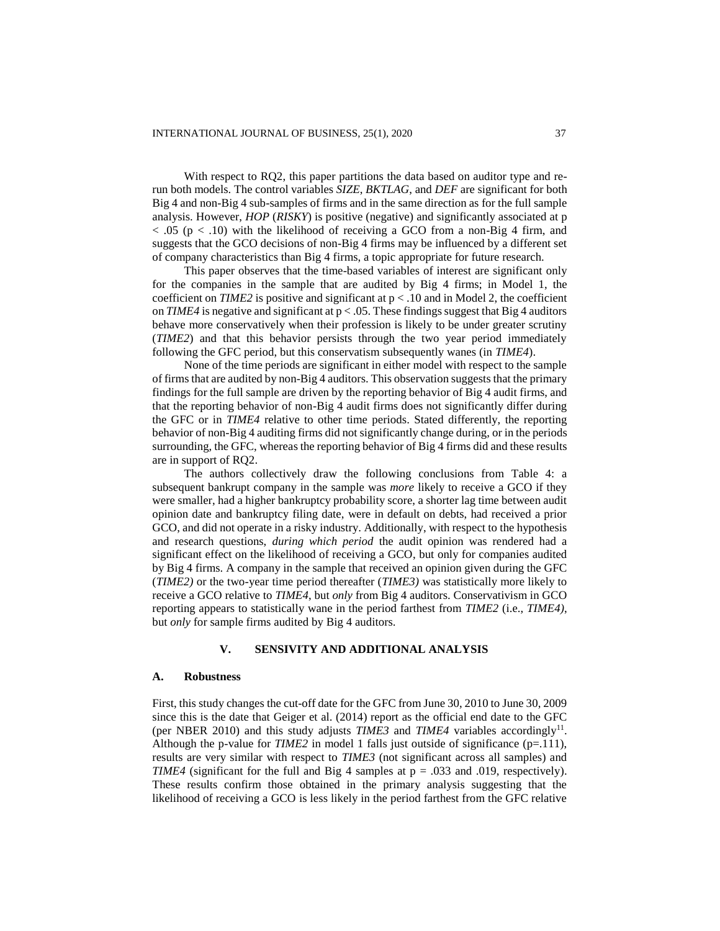With respect to RQ2, this paper partitions the data based on auditor type and rerun both models. The control variables *SIZE*, *BKTLAG*, and *DEF* are significant for both Big 4 and non-Big 4 sub-samples of firms and in the same direction as for the full sample analysis. However, *HOP* (*RISKY*) is positive (negative) and significantly associated at p  $< .05$  (p  $< .10$ ) with the likelihood of receiving a GCO from a non-Big 4 firm, and suggests that the GCO decisions of non-Big 4 firms may be influenced by a different set of company characteristics than Big 4 firms, a topic appropriate for future research.

This paper observes that the time-based variables of interest are significant only for the companies in the sample that are audited by Big 4 firms; in Model 1, the coefficient on *TIME2* is positive and significant at  $p < 0.10$  and in Model 2, the coefficient on *TIME4* is negative and significant at  $p < .05$ . These findings suggest that Big 4 auditors behave more conservatively when their profession is likely to be under greater scrutiny (*TIME2*) and that this behavior persists through the two year period immediately following the GFC period, but this conservatism subsequently wanes (in *TIME4*).

None of the time periods are significant in either model with respect to the sample of firms that are audited by non-Big 4 auditors. This observation suggests that the primary findings for the full sample are driven by the reporting behavior of Big 4 audit firms, and that the reporting behavior of non-Big 4 audit firms does not significantly differ during the GFC or in *TIME4* relative to other time periods. Stated differently, the reporting behavior of non-Big 4 auditing firms did not significantly change during, or in the periods surrounding, the GFC, whereas the reporting behavior of Big 4 firms did and these results are in support of RQ2.

The authors collectively draw the following conclusions from Table 4: a subsequent bankrupt company in the sample was *more* likely to receive a GCO if they were smaller, had a higher bankruptcy probability score, a shorter lag time between audit opinion date and bankruptcy filing date, were in default on debts, had received a prior GCO, and did not operate in a risky industry. Additionally, with respect to the hypothesis and research questions, *during which period* the audit opinion was rendered had a significant effect on the likelihood of receiving a GCO, but only for companies audited by Big 4 firms. A company in the sample that received an opinion given during the GFC (*TIME2)* or the two-year time period thereafter (*TIME3)* was statistically more likely to receive a GCO relative to *TIME4*, but *only* from Big 4 auditors. Conservativism in GCO reporting appears to statistically wane in the period farthest from *TIME2* (i.e., *TIME4)*, but *only* for sample firms audited by Big 4 auditors.

### **V. SENSIVITY AND ADDITIONAL ANALYSIS**

### **A. Robustness**

First, this study changes the cut-off date for the GFC from June 30, 2010 to June 30, 2009 since this is the date that Geiger et al. (2014) report as the official end date to the GFC (per NBER 2010) and this study adjusts  $TIME3$  and  $TIME4$  variables accordingly<sup>11</sup>. Although the p-value for  $TIME2$  in model 1 falls just outside of significance ( $p=111$ ), results are very similar with respect to *TIME3* (not significant across all samples) and *TIME4* (significant for the full and Big 4 samples at  $p = .033$  and .019, respectively). These results confirm those obtained in the primary analysis suggesting that the likelihood of receiving a GCO is less likely in the period farthest from the GFC relative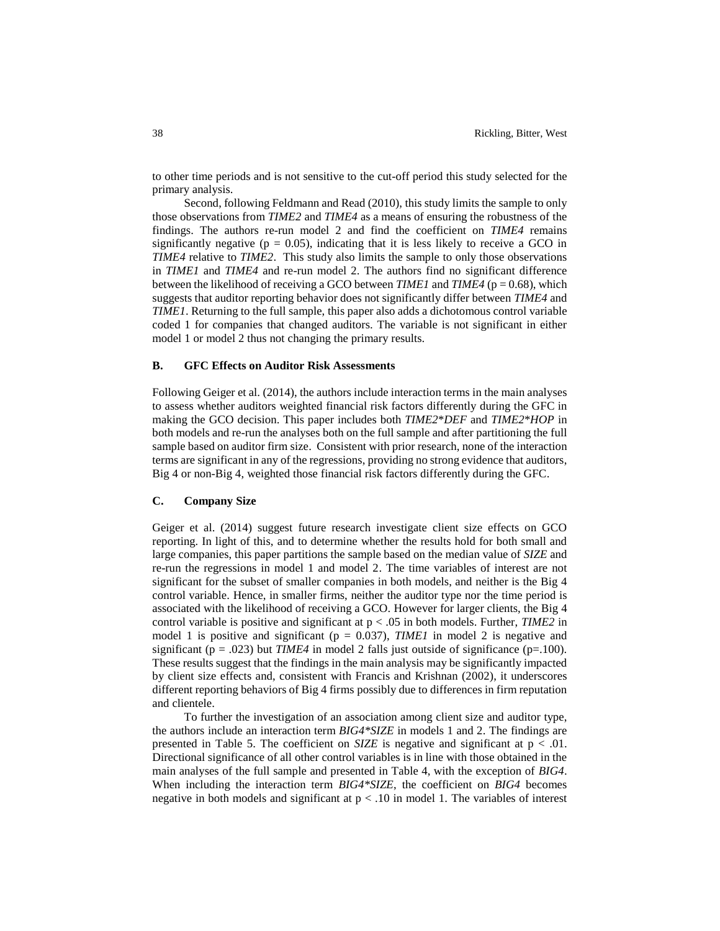to other time periods and is not sensitive to the cut-off period this study selected for the primary analysis.

Second, following Feldmann and Read (2010), this study limits the sample to only those observations from *TIME2* and *TIME4* as a means of ensuring the robustness of the findings. The authors re-run model 2 and find the coefficient on *TIME4* remains significantly negative ( $p = 0.05$ ), indicating that it is less likely to receive a GCO in *TIME4* relative to *TIME2*. This study also limits the sample to only those observations in *TIME1* and *TIME4* and re-run model 2. The authors find no significant difference between the likelihood of receiving a GCO between *TIME1* and *TIME4* (p = 0.68), which suggests that auditor reporting behavior does not significantly differ between *TIME4* and *TIME1*. Returning to the full sample, this paper also adds a dichotomous control variable coded 1 for companies that changed auditors. The variable is not significant in either model 1 or model 2 thus not changing the primary results.

### **B. GFC Effects on Auditor Risk Assessments**

Following Geiger et al. (2014), the authors include interaction terms in the main analyses to assess whether auditors weighted financial risk factors differently during the GFC in making the GCO decision. This paper includes both *TIME2*\**DEF* and *TIME2*\**HOP* in both models and re-run the analyses both on the full sample and after partitioning the full sample based on auditor firm size. Consistent with prior research, none of the interaction terms are significant in any of the regressions, providing no strong evidence that auditors, Big 4 or non-Big 4, weighted those financial risk factors differently during the GFC.

# **C. Company Size**

Geiger et al. (2014) suggest future research investigate client size effects on GCO reporting. In light of this, and to determine whether the results hold for both small and large companies, this paper partitions the sample based on the median value of *SIZE* and re-run the regressions in model 1 and model 2. The time variables of interest are not significant for the subset of smaller companies in both models, and neither is the Big 4 control variable. Hence, in smaller firms, neither the auditor type nor the time period is associated with the likelihood of receiving a GCO. However for larger clients, the Big 4 control variable is positive and significant at p < .05 in both models. Further, *TIME2* in model 1 is positive and significant ( $p = 0.037$ ), *TIME1* in model 2 is negative and significant ( $p = .023$ ) but *TIME4* in model 2 falls just outside of significance ( $p=.100$ ). These results suggest that the findings in the main analysis may be significantly impacted by client size effects and, consistent with Francis and Krishnan (2002), it underscores different reporting behaviors of Big 4 firms possibly due to differences in firm reputation and clientele.

To further the investigation of an association among client size and auditor type, the authors include an interaction term *BIG4\*SIZE* in models 1 and 2. The findings are presented in Table 5. The coefficient on  $SIZE$  is negative and significant at  $p < .01$ . Directional significance of all other control variables is in line with those obtained in the main analyses of the full sample and presented in Table 4, with the exception of *BIG4*. When including the interaction term *BIG4\*SIZE*, the coefficient on *BIG4* becomes negative in both models and significant at  $p < 0.10$  in model 1. The variables of interest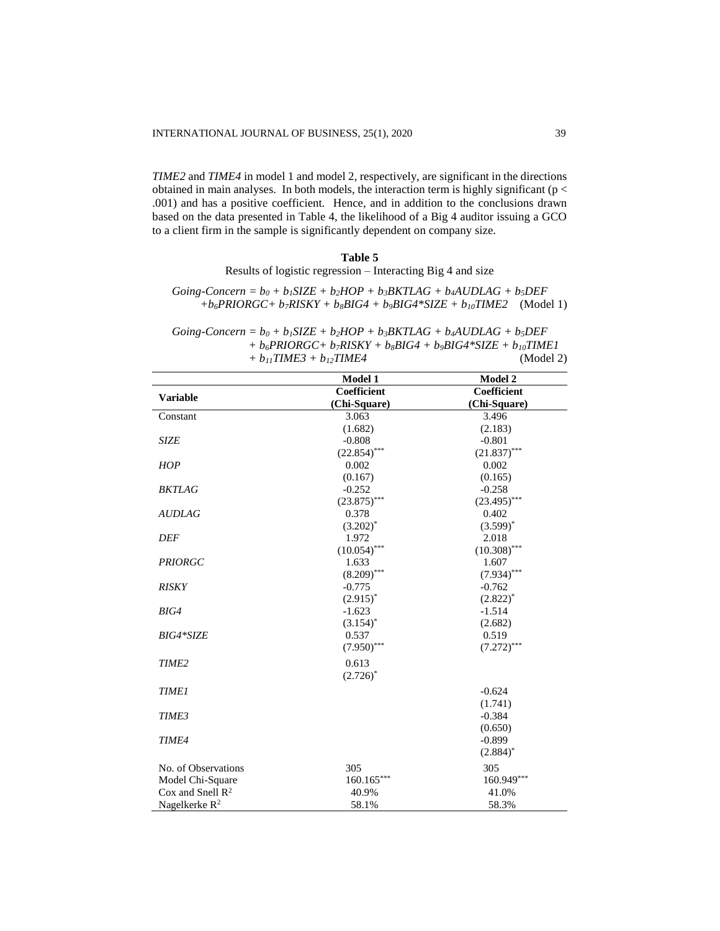*TIME2* and *TIME4* in model 1 and model 2, respectively, are significant in the directions obtained in main analyses. In both models, the interaction term is highly significant (p < .001) and has a positive coefficient. Hence, and in addition to the conclusions drawn based on the data presented in Table 4, the likelihood of a Big 4 auditor issuing a GCO to a client firm in the sample is significantly dependent on company size.

### **Table 5**

Results of logistic regression – Interacting Big 4 and size

 $Going-Concern = b<sub>0</sub> + b<sub>1</sub>SIZE + b<sub>2</sub>HOP + b<sub>3</sub>BKTLAG + b<sub>4</sub>AUDLAG + b<sub>5</sub>DEF$ *+b6PRIORGC+ b7RISKY + b8BIG4 + b9BIG4\*SIZE + b10TIME2* (Model 1)

 $Going-Concern = b<sub>0</sub> + b<sub>1</sub> SIZE + b<sub>2</sub>HOP + b<sub>3</sub>BKTLAG + b<sub>4</sub>$ **AUDLAG** $+  $b<sub>5</sub>DEF$$  *+ b6PRIORGC+ b7RISKY + b8BIG4 + b9BIG4\*SIZE + b10TIME1 + b11TIME3 + b12TIME4* (Model 2)

|                              | Model 1        | Model 2        |
|------------------------------|----------------|----------------|
| <b>Variable</b>              | Coefficient    | Coefficient    |
|                              | (Chi-Square)   | (Chi-Square)   |
| Constant                     | 3.063          | 3.496          |
|                              | (1.682)        | (2.183)        |
| <b>SIZE</b>                  | $-0.808$       | $-0.801$       |
|                              | $(22.854)$ *** | $(21.837)$ *** |
| <b>HOP</b>                   | 0.002          | 0.002          |
|                              | (0.167)        | (0.165)        |
| <b>BKTLAG</b>                | $-0.252$       | $-0.258$       |
|                              | $(23.875)$ *** | $(23.495)$ *** |
| <b>AUDLAG</b>                | 0.378          | 0.402          |
|                              | $(3.202)^*$    | $(3.599)^{*}$  |
| <b>DEF</b>                   | 1.972          | 2.018          |
|                              | $(10.054)$ *** | $(10.308)$ *** |
| <b>PRIORGC</b>               | 1.633          | 1.607          |
|                              | $(8.209)$ ***  | $(7.934)$ ***  |
| <b>RISKY</b>                 | $-0.775$       | $-0.762$       |
|                              | $(2.915)^*$    | $(2.822)^*$    |
| BIG4                         | $-1.623$       | $-1.514$       |
|                              | $(3.154)^{*}$  | (2.682)        |
| <b>BIG4*SIZE</b>             | 0.537          | 0.519          |
|                              | $(7.950)$ ***  | $(7.272)$ ***  |
| TIME <sub>2</sub>            | 0.613          |                |
|                              | $(2.726)^*$    |                |
| <b>TIME1</b>                 |                | $-0.624$       |
|                              |                | (1.741)        |
| TIME3                        |                | $-0.384$       |
|                              |                | (0.650)        |
| <b>TIME4</b>                 |                | $-0.899$       |
|                              |                | $(2.884)^*$    |
|                              |                |                |
| No. of Observations          | 305            | 305            |
| Model Chi-Square             | $160.165***$   | 160.949***     |
| Cox and Snell $\mathbb{R}^2$ | 40.9%          | 41.0%          |
| Nagelkerke $R^2$             | 58.1%          | 58.3%          |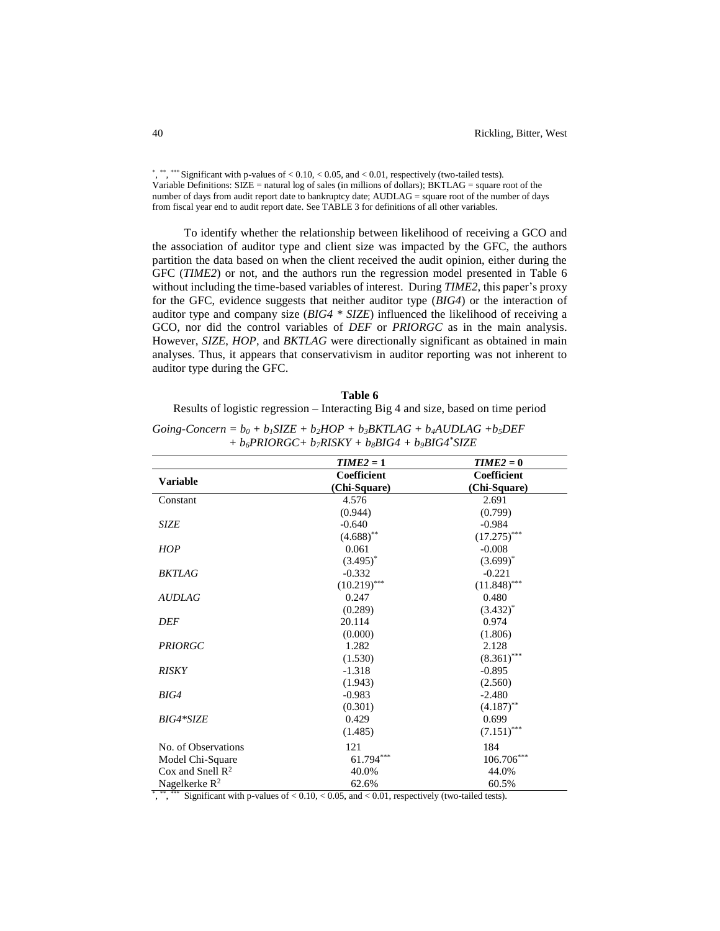\*, \*\*\*, \*\*\* Significant with p-values of  $< 0.10, < 0.05$ , and  $< 0.01$ , respectively (two-tailed tests). Variable Definitions:  $\angle$  SIZE = natural log of sales (in millions of dollars); BKTLAG = square root of the number of days from audit report date to bankruptcy date; AUDLAG = square root of the number of days from fiscal year end to audit report date. See TABLE 3 for definitions of all other variables.

To identify whether the relationship between likelihood of receiving a GCO and the association of auditor type and client size was impacted by the GFC, the authors partition the data based on when the client received the audit opinion, either during the GFC (*TIME2*) or not, and the authors run the regression model presented in Table 6 without including the time-based variables of interest. During *TIME2*, this paper's proxy for the GFC, evidence suggests that neither auditor type (*BIG4*) or the interaction of auditor type and company size (*BIG4 \* SIZE*) influenced the likelihood of receiving a GCO, nor did the control variables of *DEF* or *PRIORGC* as in the main analysis. However, *SIZE*, *HOP*, and *BKTLAG* were directionally significant as obtained in main analyses. Thus, it appears that conservativism in auditor reporting was not inherent to auditor type during the GFC.

### **Table 6**

Results of logistic regression – Interacting Big 4 and size, based on time period

|                              | $TIME2 = 1$    | $TIME2 = 0$    |
|------------------------------|----------------|----------------|
|                              | Coefficient    | Coefficient    |
| <b>Variable</b>              | (Chi-Square)   | (Chi-Square)   |
| Constant                     | 4.576          | 2.691          |
|                              | (0.944)        | (0.799)        |
| <b>SIZE</b>                  | $-0.640$       | $-0.984$       |
|                              | $(4.688)$ **   | $(17.275)$ *** |
| <b>HOP</b>                   | 0.061          | $-0.008$       |
|                              | $(3.495)^*$    | $(3.699)^*$    |
| <b>BKTLAG</b>                | $-0.332$       | $-0.221$       |
|                              | $(10.219)$ *** | $(11.848)$ *** |
| <b>AUDLAG</b>                | 0.247          | 0.480          |
|                              | (0.289)        | $(3.432)^{*}$  |
| <b>DEF</b>                   | 20.114         | 0.974          |
|                              | (0.000)        | (1.806)        |
| <b>PRIORGC</b>               | 1.282          | 2.128          |
|                              | (1.530)        | $(8.361)$ ***  |
| <b>RISKY</b>                 | $-1.318$       | $-0.895$       |
|                              | (1.943)        | (2.560)        |
| BIG4                         | $-0.983$       | $-2.480$       |
|                              | (0.301)        | $(4.187)$ **   |
| BIG4*SIZE                    | 0.429          | 0.699          |
|                              | (1.485)        | $(7.151)$ ***  |
| No. of Observations          | 121            | 184            |
| Model Chi-Square             | 61.794***      | $106.706***$   |
| Cox and Snell $\mathbb{R}^2$ | 40.0%          | 44.0%          |
| Nagelkerke $\mathbf{R}^2$    | 62.6%          | 60.5%          |

| Going-Concern = $b_0 + b_1 SIZE + b_2 HOP + b_3 BKTLAG + b_4 A UDLAG + b_5 DEF$ |
|---------------------------------------------------------------------------------|
| $+ b_6 PRIORGC + b_7RISKY + b_8BIG4 + b_9BIG4$ *SIZE                            |

\* , \*\* , \*\*\* Significant with p-values of < 0.10, < 0.05, and < 0.01, respectively (two-tailed tests).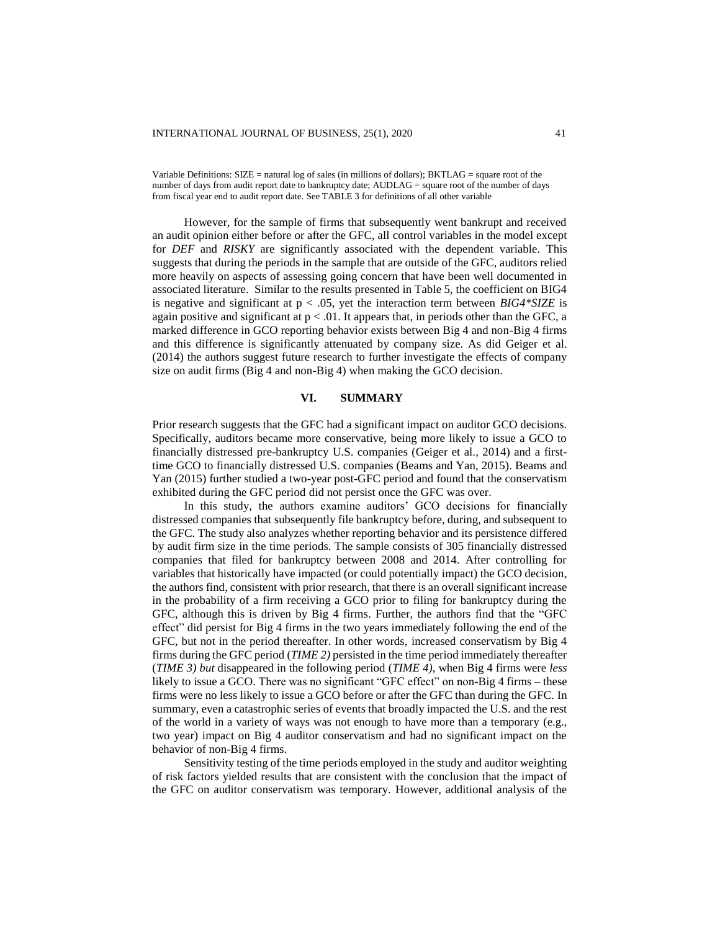Variable Definitions: SIZE = natural log of sales (in millions of dollars); BKTLAG = square root of the number of days from audit report date to bankruptcy date; AUDLAG = square root of the number of days from fiscal year end to audit report date. See TABLE 3 for definitions of all other variable

However, for the sample of firms that subsequently went bankrupt and received an audit opinion either before or after the GFC, all control variables in the model except for *DEF* and *RISKY* are significantly associated with the dependent variable. This suggests that during the periods in the sample that are outside of the GFC, auditors relied more heavily on aspects of assessing going concern that have been well documented in associated literature. Similar to the results presented in Table 5, the coefficient on BIG4 is negative and significant at p < .05, yet the interaction term between *BIG4\*SIZE* is again positive and significant at  $p < .01$ . It appears that, in periods other than the GFC, a marked difference in GCO reporting behavior exists between Big 4 and non-Big 4 firms and this difference is significantly attenuated by company size. As did Geiger et al. (2014) the authors suggest future research to further investigate the effects of company size on audit firms (Big 4 and non-Big 4) when making the GCO decision.

### **VI. SUMMARY**

Prior research suggests that the GFC had a significant impact on auditor GCO decisions. Specifically, auditors became more conservative, being more likely to issue a GCO to financially distressed pre-bankruptcy U.S. companies (Geiger et al., 2014) and a firsttime GCO to financially distressed U.S. companies (Beams and Yan, 2015). Beams and Yan (2015) further studied a two-year post-GFC period and found that the conservatism exhibited during the GFC period did not persist once the GFC was over.

In this study, the authors examine auditors' GCO decisions for financially distressed companies that subsequently file bankruptcy before, during, and subsequent to the GFC. The study also analyzes whether reporting behavior and its persistence differed by audit firm size in the time periods. The sample consists of 305 financially distressed companies that filed for bankruptcy between 2008 and 2014. After controlling for variables that historically have impacted (or could potentially impact) the GCO decision, the authors find, consistent with prior research, that there is an overall significant increase in the probability of a firm receiving a GCO prior to filing for bankruptcy during the GFC, although this is driven by Big 4 firms. Further, the authors find that the "GFC effect" did persist for Big 4 firms in the two years immediately following the end of the GFC, but not in the period thereafter. In other words, increased conservatism by Big 4 firms during the GFC period (*TIME 2)* persisted in the time period immediately thereafter (*TIME 3) but* disappeared in the following period (*TIME 4)*, when Big 4 firms were *less* likely to issue a GCO. There was no significant "GFC effect" on non-Big 4 firms – these firms were no less likely to issue a GCO before or after the GFC than during the GFC. In summary, even a catastrophic series of events that broadly impacted the U.S. and the rest of the world in a variety of ways was not enough to have more than a temporary (e.g., two year) impact on Big 4 auditor conservatism and had no significant impact on the behavior of non-Big 4 firms.

Sensitivity testing of the time periods employed in the study and auditor weighting of risk factors yielded results that are consistent with the conclusion that the impact of the GFC on auditor conservatism was temporary. However, additional analysis of the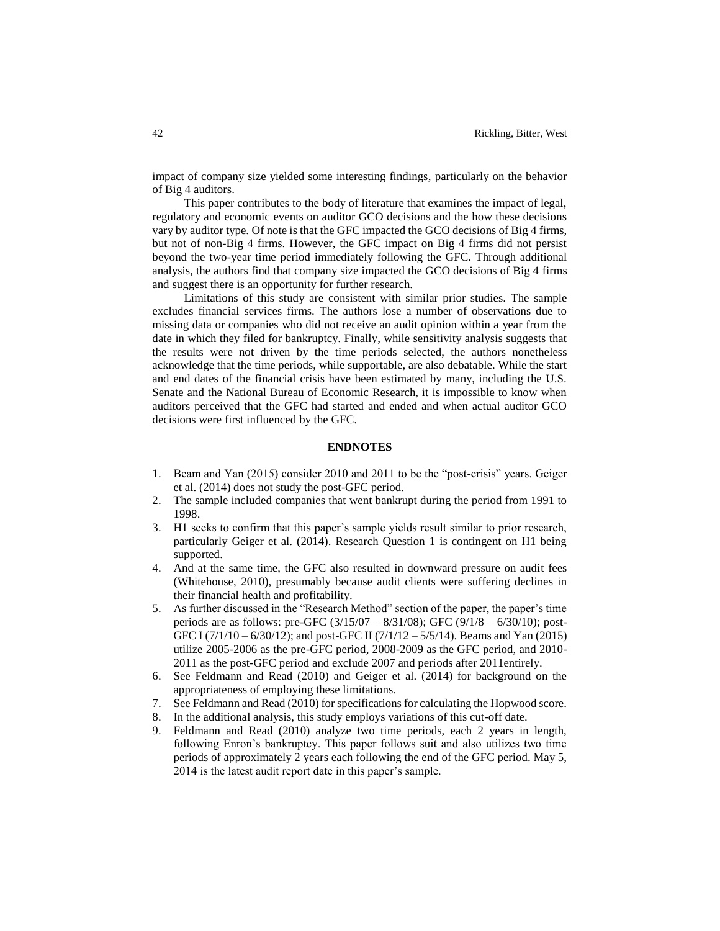impact of company size yielded some interesting findings, particularly on the behavior of Big 4 auditors.

This paper contributes to the body of literature that examines the impact of legal, regulatory and economic events on auditor GCO decisions and the how these decisions vary by auditor type. Of note is that the GFC impacted the GCO decisions of Big 4 firms, but not of non-Big 4 firms. However, the GFC impact on Big 4 firms did not persist beyond the two-year time period immediately following the GFC. Through additional analysis, the authors find that company size impacted the GCO decisions of Big 4 firms and suggest there is an opportunity for further research.

Limitations of this study are consistent with similar prior studies. The sample excludes financial services firms. The authors lose a number of observations due to missing data or companies who did not receive an audit opinion within a year from the date in which they filed for bankruptcy. Finally, while sensitivity analysis suggests that the results were not driven by the time periods selected, the authors nonetheless acknowledge that the time periods, while supportable, are also debatable. While the start and end dates of the financial crisis have been estimated by many, including the U.S. Senate and the National Bureau of Economic Research, it is impossible to know when auditors perceived that the GFC had started and ended and when actual auditor GCO decisions were first influenced by the GFC.

### **ENDNOTES**

- 1. Beam and Yan (2015) consider 2010 and 2011 to be the "post-crisis" years. Geiger et al. (2014) does not study the post-GFC period.
- 2. The sample included companies that went bankrupt during the period from 1991 to 1998.
- 3. H1 seeks to confirm that this paper's sample yields result similar to prior research, particularly Geiger et al. (2014). Research Question 1 is contingent on H1 being supported.
- 4. And at the same time, the GFC also resulted in downward pressure on audit fees (Whitehouse, 2010), presumably because audit clients were suffering declines in their financial health and profitability.
- 5. As further discussed in the "Research Method" section of the paper, the paper's time periods are as follows: pre-GFC (3/15/07 – 8/31/08); GFC (9/1/8 – 6/30/10); post-GFC I  $(7/1/10 - 6/30/12)$ ; and post-GFC II  $(7/1/12 - 5/5/14)$ . Beams and Yan (2015) utilize 2005-2006 as the pre-GFC period, 2008-2009 as the GFC period, and 2010- 2011 as the post-GFC period and exclude 2007 and periods after 2011entirely.
- 6. See Feldmann and Read (2010) and Geiger et al. (2014) for background on the appropriateness of employing these limitations.
- 7. See Feldmann and Read (2010) for specifications for calculating the Hopwood score.
- 8. In the additional analysis, this study employs variations of this cut-off date.
- 9. Feldmann and Read (2010) analyze two time periods, each 2 years in length, following Enron's bankruptcy. This paper follows suit and also utilizes two time periods of approximately 2 years each following the end of the GFC period. May 5, 2014 is the latest audit report date in this paper's sample.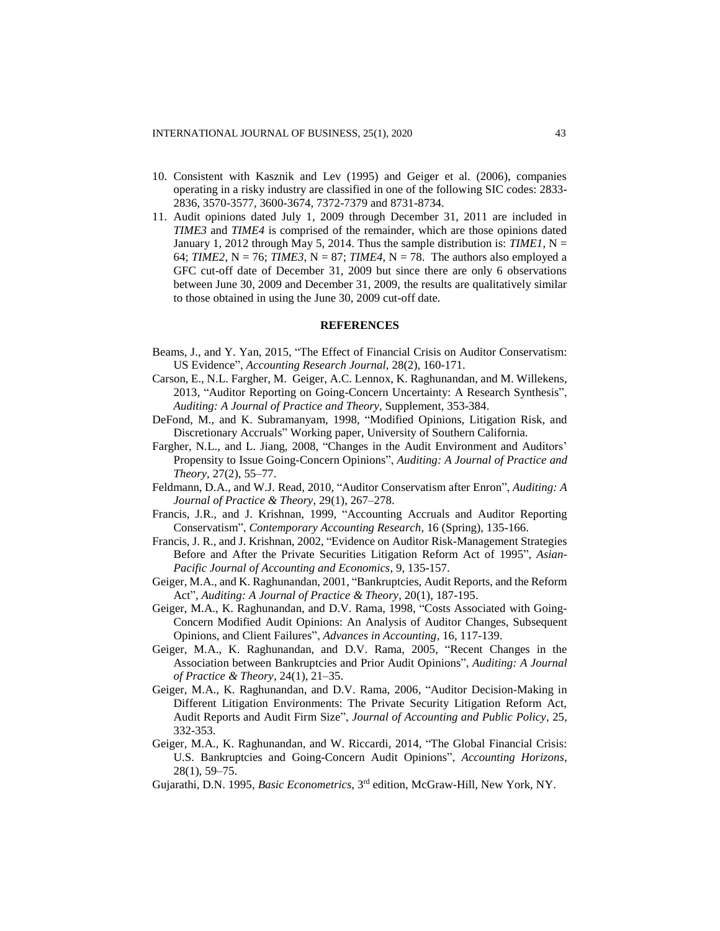- 10. Consistent with Kasznik and Lev (1995) and Geiger et al. (2006), companies operating in a risky industry are classified in one of the following SIC codes: 2833- 2836, 3570-3577, 3600-3674, 7372-7379 and 8731-8734.
- 11. Audit opinions dated July 1, 2009 through December 31, 2011 are included in *TIME3* and *TIME4* is comprised of the remainder, which are those opinions dated January 1, 2012 through May 5, 2014. Thus the sample distribution is: *TIME1*,  $N =$ 64; *TIME2*,  $N = 76$ ; *TIME3*,  $N = 87$ ; *TIME4*,  $N = 78$ . The authors also employed a GFC cut-off date of December 31, 2009 but since there are only 6 observations between June 30, 2009 and December 31, 2009, the results are qualitatively similar to those obtained in using the June 30, 2009 cut-off date.

#### **REFERENCES**

- Beams, J., and Y. Yan, 2015, "The Effect of Financial Crisis on Auditor Conservatism: US Evidence", *Accounting Research Journal,* 28(2), 160-171.
- Carson, E., N.L. Fargher, M. Geiger, A.C. Lennox, K. Raghunandan, and M. Willekens, 2013, "Auditor Reporting on Going-Concern Uncertainty: A Research Synthesis", *Auditing: A Journal of Practice and Theory*, Supplement, 353-384.
- DeFond, M., and K. Subramanyam, 1998, "Modified Opinions, Litigation Risk, and Discretionary Accruals" Working paper, University of Southern California.
- Fargher, N.L., and L. Jiang, 2008, "Changes in the Audit Environment and Auditors' Propensity to Issue Going-Concern Opinions", *Auditing: A Journal of Practice and Theory,* 27(2), 55–77.
- Feldmann, D.A., and W.J. Read, 2010, "Auditor Conservatism after Enron", *Auditing: A Journal of Practice & Theory,* 29(1), 267–278.
- Francis, J.R., and J. Krishnan, 1999, "Accounting Accruals and Auditor Reporting Conservatism", *Contemporary Accounting Research,* 16 (Spring), 135-166.
- Francis, J. R., and J. Krishnan, 2002, "Evidence on Auditor Risk-Management Strategies Before and After the Private Securities Litigation Reform Act of 1995", *Asian-Pacific Journal of Accounting and Economics*, 9, 135-157.
- Geiger, M.A., and K. Raghunandan, 2001, "Bankruptcies, Audit Reports, and the Reform Act", *Auditing: A Journal of Practice & Theory,* 20(1), 187-195.
- Geiger, M.A., K. Raghunandan, and D.V. Rama, 1998, "Costs Associated with Going-Concern Modified Audit Opinions: An Analysis of Auditor Changes, Subsequent Opinions, and Client Failures", *Advances in Accounting,* 16, 117-139.
- Geiger, M.A., K. Raghunandan, and D.V. Rama, 2005, "Recent Changes in the Association between Bankruptcies and Prior Audit Opinions", *Auditing: A Journal of Practice & Theory,* 24(1), 21–35.
- Geiger, M.A., K. Raghunandan, and D.V. Rama, 2006, "Auditor Decision-Making in Different Litigation Environments: The Private Security Litigation Reform Act, Audit Reports and Audit Firm Size", *Journal of Accounting and Public Policy,* 25, 332-353.
- Geiger, M.A., K. Raghunandan, and W. Riccardi, 2014, "The Global Financial Crisis: U.S. Bankruptcies and Going-Concern Audit Opinions", *Accounting Horizons,* 28(1), 59–75.
- Gujarathi, D.N. 1995, *Basic Econometrics*, 3<sup>rd</sup> edition, McGraw-Hill, New York, NY.